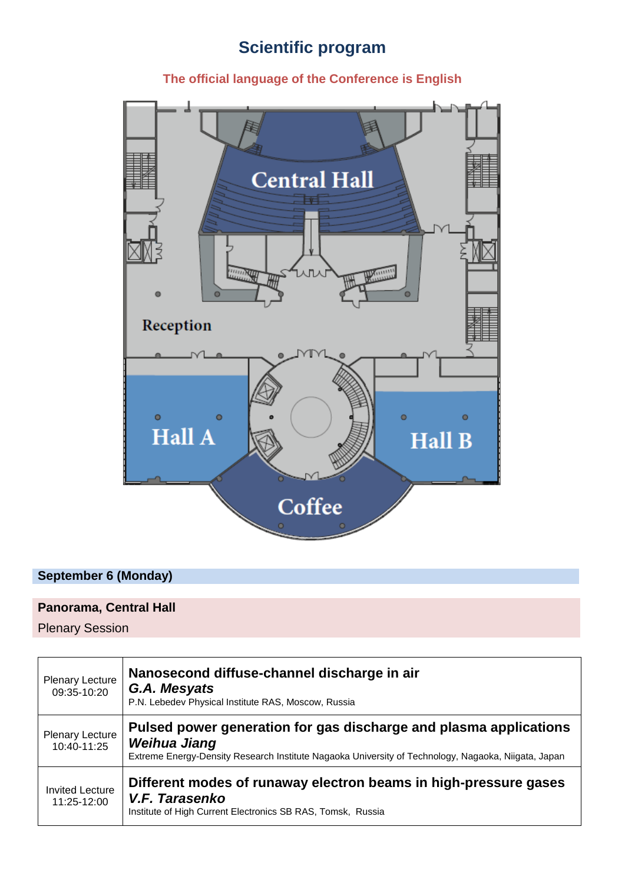# **Scientific program**

## **The official language of the Conference is English**



## **September 6 (Monday)**

## **Panorama, Central Hall**

Plenary Session

| Plenary Lecture<br>09:35-10:20        | Nanosecond diffuse-channel discharge in air<br>G.A. Mesyats<br>P.N. Lebedev Physical Institute RAS, Moscow, Russia                                                                       |
|---------------------------------------|------------------------------------------------------------------------------------------------------------------------------------------------------------------------------------------|
| <b>Plenary Lecture</b><br>10:40-11:25 | Pulsed power generation for gas discharge and plasma applications<br>Weihua Jiang<br>Extreme Energy-Density Research Institute Nagaoka University of Technology, Nagaoka, Niigata, Japan |
| <b>Invited Lecture</b><br>11:25-12:00 | Different modes of runaway electron beams in high-pressure gases<br>V.F. Tarasenko<br>Institute of High Current Electronics SB RAS, Tomsk, Russia                                        |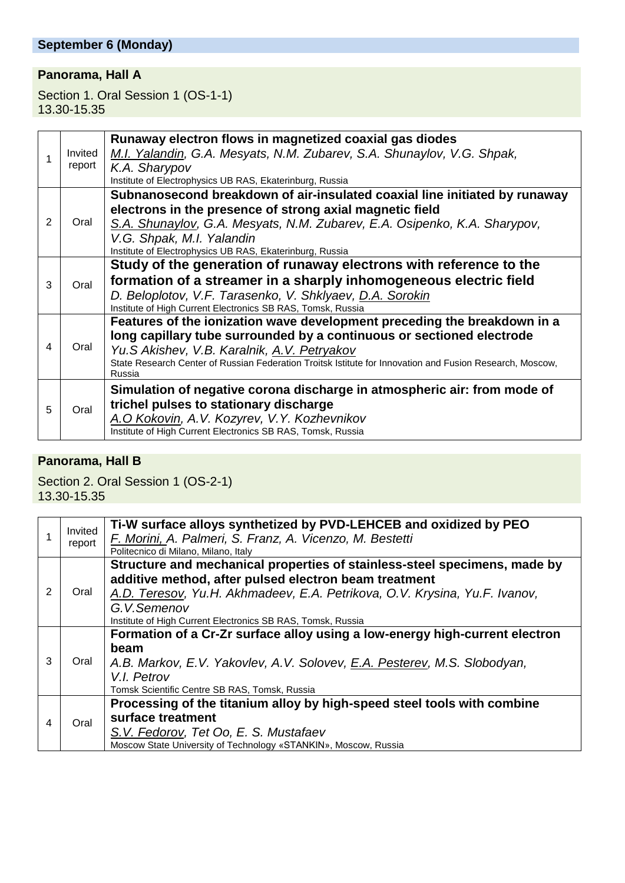## **Panorama, Hall A**

Section 1. Oral Session 1 (OS-1-1) 13.30-15.35

|   | Invited<br>report | Runaway electron flows in magnetized coaxial gas diodes<br>M.I. Yalandin, G.A. Mesyats, N.M. Zubarev, S.A. Shunaylov, V.G. Shpak,<br>K.A. Sharypov<br>Institute of Electrophysics UB RAS, Ekaterinburg, Russia                                                                                                         |
|---|-------------------|------------------------------------------------------------------------------------------------------------------------------------------------------------------------------------------------------------------------------------------------------------------------------------------------------------------------|
| 2 | Oral              | Subnanosecond breakdown of air-insulated coaxial line initiated by runaway<br>electrons in the presence of strong axial magnetic field<br>S.A. Shunaylov, G.A. Mesyats, N.M. Zubarev, E.A. Osipenko, K.A. Sharypov,<br>V.G. Shpak, M.I. Yalandin                                                                       |
|   |                   | Institute of Electrophysics UB RAS, Ekaterinburg, Russia                                                                                                                                                                                                                                                               |
| 3 | Oral              | Study of the generation of runaway electrons with reference to the<br>formation of a streamer in a sharply inhomogeneous electric field<br>D. Beloplotov, V.F. Tarasenko, V. Shklyaev, D.A. Sorokin<br>Institute of High Current Electronics SB RAS, Tomsk, Russia                                                     |
| 4 | Oral              | Features of the ionization wave development preceding the breakdown in a<br>long capillary tube surrounded by a continuous or sectioned electrode<br>Yu.S Akishev, V.B. Karalnik, A.V. Petryakov<br>State Research Center of Russian Federation Troitsk Istitute for Innovation and Fusion Research, Moscow,<br>Russia |
| 5 | Oral              | Simulation of negative corona discharge in atmospheric air: from mode of<br>trichel pulses to stationary discharge<br>A.O Kokovin, A.V. Kozyrev, V.Y. Kozhevnikov<br>Institute of High Current Electronics SB RAS, Tomsk, Russia                                                                                       |

## **Panorama, Hall B**

Section 2. Oral Session 1 (OS-2-1) 13.30-15.35

|   | Invited | Ti-W surface alloys synthetized by PVD-LEHCEB and oxidized by PEO           |
|---|---------|-----------------------------------------------------------------------------|
|   | report  | F. Morini, A. Palmeri, S. Franz, A. Vicenzo, M. Bestetti                    |
|   |         | Politecnico di Milano, Milano, Italy                                        |
|   |         | Structure and mechanical properties of stainless-steel specimens, made by   |
|   |         | additive method, after pulsed electron beam treatment                       |
| 2 | Oral    | A.D. Teresov, Yu.H. Akhmadeev, E.A. Petrikova, O.V. Krysina, Yu.F. Ivanov,  |
|   |         | G.V.Semenov                                                                 |
|   |         | Institute of High Current Electronics SB RAS, Tomsk, Russia                 |
|   |         | Formation of a Cr-Zr surface alloy using a low-energy high-current electron |
|   | Oral    | beam                                                                        |
| 3 |         | A.B. Markov, E.V. Yakovlev, A.V. Solovev, E.A. Pesterev, M.S. Slobodyan,    |
|   |         | V.I. Petrov                                                                 |
|   |         | Tomsk Scientific Centre SB RAS, Tomsk, Russia                               |
| 4 |         | Processing of the titanium alloy by high-speed steel tools with combine     |
|   | Oral    | surface treatment                                                           |
|   |         | S.V. Fedorov, Tet Oo, E. S. Mustafaev                                       |
|   |         | Moscow State University of Technology «STANKIN», Moscow, Russia             |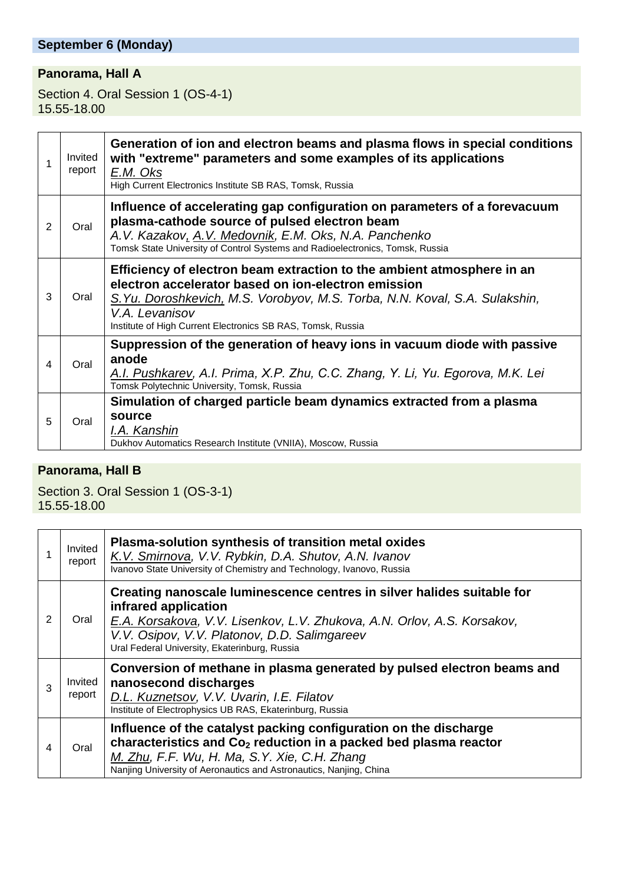## **September 6 (Monday)**

## **Panorama, Hall A**

Section 4. Oral Session 1 (OS-4-1) 15.55-18.00

|   | Invited<br>report | Generation of ion and electron beams and plasma flows in special conditions<br>with "extreme" parameters and some examples of its applications<br>E.M. Oks<br>High Current Electronics Institute SB RAS, Tomsk, Russia                                                                        |
|---|-------------------|-----------------------------------------------------------------------------------------------------------------------------------------------------------------------------------------------------------------------------------------------------------------------------------------------|
| 2 | Oral              | Influence of accelerating gap configuration on parameters of a forevacuum<br>plasma-cathode source of pulsed electron beam<br>A.V. Kazakov, A.V. Medovnik, E.M. Oks, N.A. Panchenko<br>Tomsk State University of Control Systems and Radioelectronics, Tomsk, Russia                          |
| 3 | Oral              | Efficiency of electron beam extraction to the ambient atmosphere in an<br>electron accelerator based on ion-electron emission<br>S. Yu. Doroshkevich, M.S. Vorobyov, M.S. Torba, N.N. Koval, S.A. Sulakshin,<br>V.A. Levanisov<br>Institute of High Current Electronics SB RAS, Tomsk, Russia |
| 4 | Oral              | Suppression of the generation of heavy ions in vacuum diode with passive<br>anode<br>A.I. Pushkarev, A.I. Prima, X.P. Zhu, C.C. Zhang, Y. Li, Yu. Egorova, M.K. Lei<br>Tomsk Polytechnic University, Tomsk, Russia                                                                            |
| 5 | Oral              | Simulation of charged particle beam dynamics extracted from a plasma<br>source<br>I.A. Kanshin<br>Dukhov Automatics Research Institute (VNIIA), Moscow, Russia                                                                                                                                |

## **Panorama, Hall B**

Section 3. Oral Session 1 (OS-3-1) 15.55-18.00

|   | Invited<br>report | Plasma-solution synthesis of transition metal oxides<br>K.V. Smirnova, V.V. Rybkin, D.A. Shutov, A.N. Ivanov<br>Ivanovo State University of Chemistry and Technology, Ivanovo, Russia                                                                                      |
|---|-------------------|----------------------------------------------------------------------------------------------------------------------------------------------------------------------------------------------------------------------------------------------------------------------------|
| 2 | Oral              | Creating nanoscale luminescence centres in silver halides suitable for<br>infrared application<br>E.A. Korsakova, V.V. Lisenkov, L.V. Zhukova, A.N. Orlov, A.S. Korsakov,<br>V.V. Osipov, V.V. Platonov, D.D. Salimgareev<br>Ural Federal University, Ekaterinburg, Russia |
| 3 | Invited<br>report | Conversion of methane in plasma generated by pulsed electron beams and<br>nanosecond discharges<br>D.L. Kuznetsov, V.V. Uvarin, I.E. Filatov<br>Institute of Electrophysics UB RAS, Ekaterinburg, Russia                                                                   |
| 4 | Oral              | Influence of the catalyst packing configuration on the discharge<br>characteristics and Co <sub>2</sub> reduction in a packed bed plasma reactor<br>M. Zhu, F.F. Wu, H. Ma, S.Y. Xie, C.H. Zhang<br>Nanjing University of Aeronautics and Astronautics, Nanjing, China     |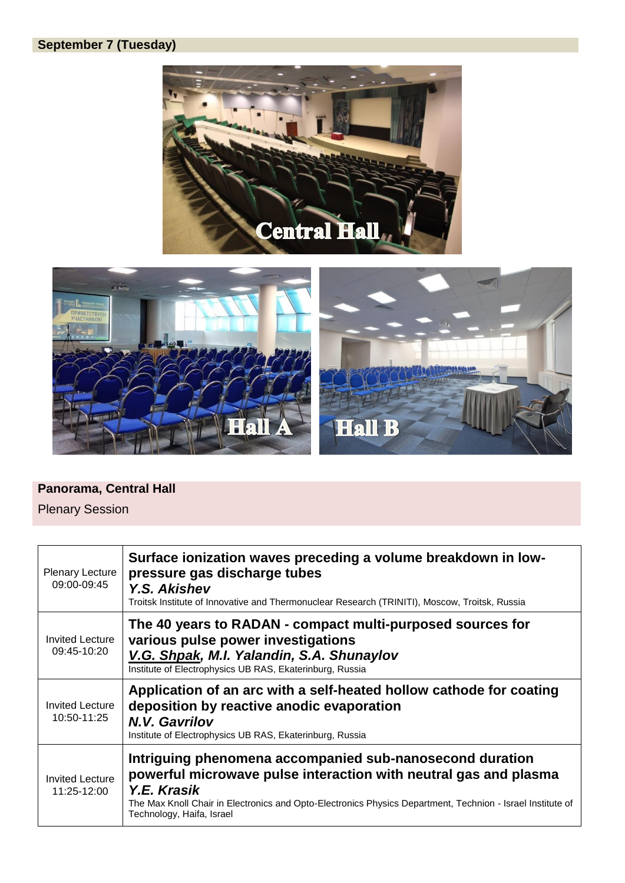## **September 7 (Tuesday)**





#### **Panorama, Central Hall**

Plenary Session

| <b>Plenary Lecture</b><br>09:00-09:45 | Surface ionization waves preceding a volume breakdown in low-<br>pressure gas discharge tubes<br><b>Y.S. Akishev</b><br>Troitsk Institute of Innovative and Thermonuclear Research (TRINITI), Moscow, Troitsk, Russia                                                                  |
|---------------------------------------|----------------------------------------------------------------------------------------------------------------------------------------------------------------------------------------------------------------------------------------------------------------------------------------|
| <b>Invited Lecture</b><br>09:45-10:20 | The 40 years to RADAN - compact multi-purposed sources for<br>various pulse power investigations<br>V.G. Shpak, M.I. Yalandin, S.A. Shunaylov<br>Institute of Electrophysics UB RAS, Ekaterinburg, Russia                                                                              |
| <b>Invited Lecture</b><br>10:50-11:25 | Application of an arc with a self-heated hollow cathode for coating<br>deposition by reactive anodic evaporation<br>N.V. Gavrilov<br>Institute of Electrophysics UB RAS, Ekaterinburg, Russia                                                                                          |
| <b>Invited Lecture</b><br>11:25-12:00 | Intriguing phenomena accompanied sub-nanosecond duration<br>powerful microwave pulse interaction with neutral gas and plasma<br>Y.E. Krasik<br>The Max Knoll Chair in Electronics and Opto-Electronics Physics Department, Technion - Israel Institute of<br>Technology, Haifa, Israel |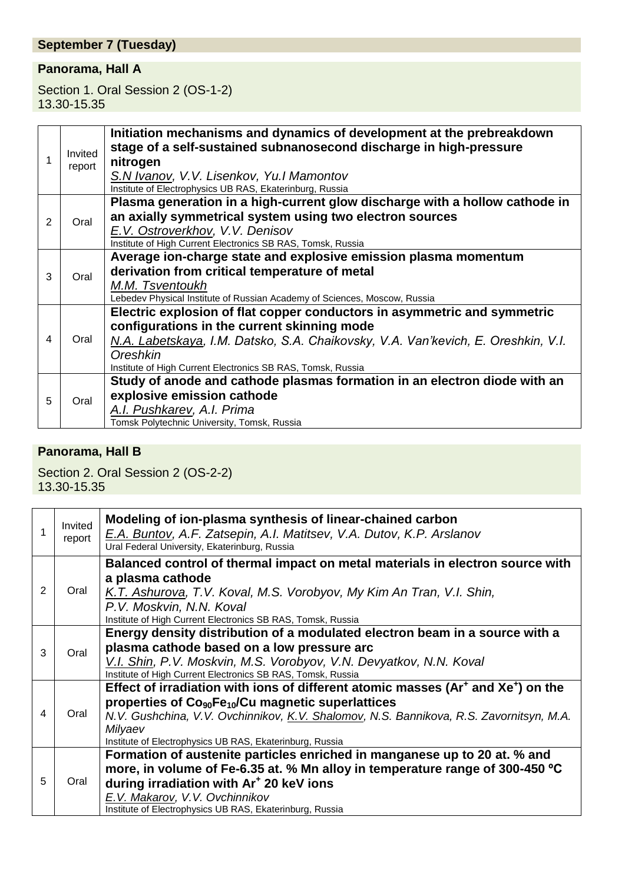## **September 7 (Tuesday)**

### **Panorama, Hall A**

Section 1. Oral Session 2 (OS-1-2) 13.30-15.35

|                | Invited<br>report | Initiation mechanisms and dynamics of development at the prebreakdown<br>stage of a self-sustained subnanosecond discharge in high-pressure |
|----------------|-------------------|---------------------------------------------------------------------------------------------------------------------------------------------|
|                |                   | nitrogen<br>S.N Ivanov, V.V. Lisenkov, Yu.I Mamontov                                                                                        |
|                |                   | Institute of Electrophysics UB RAS, Ekaterinburg, Russia<br>Plasma generation in a high-current glow discharge with a hollow cathode in     |
| 2              | Oral              | an axially symmetrical system using two electron sources                                                                                    |
|                |                   | E.V. Ostroverkhov, V.V. Denisov                                                                                                             |
|                |                   | Institute of High Current Electronics SB RAS, Tomsk, Russia                                                                                 |
|                |                   | Average ion-charge state and explosive emission plasma momentum                                                                             |
| 3              | Oral              | derivation from critical temperature of metal                                                                                               |
|                |                   | M.M. Tsventoukh                                                                                                                             |
|                |                   | Lebedev Physical Institute of Russian Academy of Sciences, Moscow, Russia                                                                   |
|                | Oral              | Electric explosion of flat copper conductors in asymmetric and symmetric                                                                    |
|                |                   | configurations in the current skinning mode                                                                                                 |
| $\overline{4}$ |                   | N.A. Labetskaya, I.M. Datsko, S.A. Chaikovsky, V.A. Van'kevich, E. Oreshkin, V.I.                                                           |
|                |                   | Oreshkin                                                                                                                                    |
|                |                   | Institute of High Current Electronics SB RAS, Tomsk, Russia                                                                                 |
| 5              |                   | Study of anode and cathode plasmas formation in an electron diode with an                                                                   |
|                | Oral              | explosive emission cathode                                                                                                                  |
|                |                   | A.I. Pushkarev, A.I. Prima                                                                                                                  |
|                |                   | Tomsk Polytechnic University, Tomsk, Russia                                                                                                 |

### **Panorama, Hall B**

Section 2. Oral Session 2 (OS-2-2) 13.30-15.35

| 1 | Invited<br>report | Modeling of ion-plasma synthesis of linear-chained carbon<br>E.A. Buntov, A.F. Zatsepin, A.I. Matitsev, V.A. Dutov, K.P. Arslanov<br>Ural Federal University, Ekaterinburg, Russia |
|---|-------------------|------------------------------------------------------------------------------------------------------------------------------------------------------------------------------------|
| 2 | Oral              | Balanced control of thermal impact on metal materials in electron source with<br>a plasma cathode                                                                                  |
|   |                   | K.T. Ashurova, T.V. Koval, M.S. Vorobyov, My Kim An Tran, V.I. Shin,<br>P.V. Moskvin, N.N. Koval<br>Institute of High Current Electronics SB RAS, Tomsk, Russia                    |
|   |                   | Energy density distribution of a modulated electron beam in a source with a                                                                                                        |
| 3 | Oral              | plasma cathode based on a low pressure arc                                                                                                                                         |
|   |                   | V.I. Shin, P.V. Moskvin, M.S. Vorobyov, V.N. Devyatkov, N.N. Koval                                                                                                                 |
|   |                   | Institute of High Current Electronics SB RAS, Tomsk, Russia                                                                                                                        |
|   |                   | Effect of irradiation with ions of different atomic masses (Ar <sup>+</sup> and Xe <sup>+</sup> ) on the                                                                           |
|   |                   | properties of $Co90Fe10/Cu$ magnetic superlattices                                                                                                                                 |
| 4 | Oral              | N.V. Gushchina, V.V. Ovchinnikov, K.V. Shalomov, N.S. Bannikova, R.S. Zavornitsyn, M.A.                                                                                            |
|   |                   | Milyaev                                                                                                                                                                            |
|   |                   | Institute of Electrophysics UB RAS, Ekaterinburg, Russia                                                                                                                           |
|   |                   | Formation of austenite particles enriched in manganese up to 20 at. % and                                                                                                          |
|   |                   | more, in volume of Fe-6.35 at. % Mn alloy in temperature range of 300-450 °C                                                                                                       |
| 5 | Oral              | during irradiation with Ar <sup>+</sup> 20 keV ions                                                                                                                                |
|   |                   | E.V. Makarov, V.V. Ovchinnikov                                                                                                                                                     |
|   |                   | Institute of Electrophysics UB RAS, Ekaterinburg, Russia                                                                                                                           |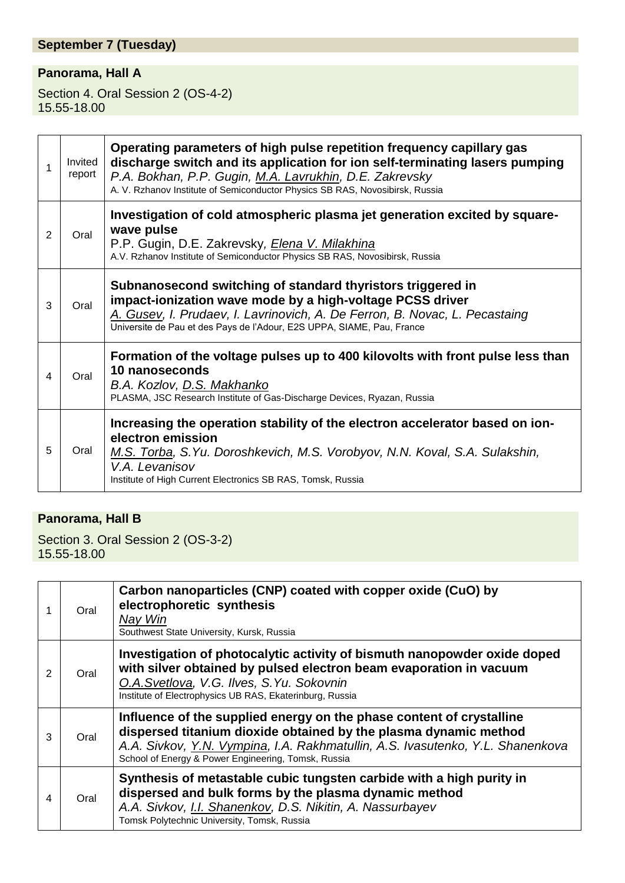## **September 7 (Tuesday)**

## **Panorama, Hall A**

Section 4. Oral Session 2 (OS-4-2) 15.55-18.00

| 1 | Invited<br>report | Operating parameters of high pulse repetition frequency capillary gas<br>discharge switch and its application for ion self-terminating lasers pumping<br>P.A. Bokhan, P.P. Gugin, M.A. Lavrukhin, D.E. Zakrevsky<br>A. V. Rzhanov Institute of Semiconductor Physics SB RAS, Novosibirsk, Russia |
|---|-------------------|--------------------------------------------------------------------------------------------------------------------------------------------------------------------------------------------------------------------------------------------------------------------------------------------------|
| 2 | Oral              | Investigation of cold atmospheric plasma jet generation excited by square-<br>wave pulse<br>P.P. Gugin, D.E. Zakrevsky, <i>Elena V. Milakhina</i><br>A.V. Rzhanov Institute of Semiconductor Physics SB RAS, Novosibirsk, Russia                                                                 |
| 3 | Oral              | Subnanosecond switching of standard thyristors triggered in<br>impact-ionization wave mode by a high-voltage PCSS driver<br>A. Gusev, I. Prudaev, I. Lavrinovich, A. De Ferron, B. Novac, L. Pecastaing<br>Universite de Pau et des Pays de l'Adour, E2S UPPA, SIAME, Pau, France                |
| 4 | Oral              | Formation of the voltage pulses up to 400 kilovolts with front pulse less than<br>10 nanoseconds<br>B.A. Kozlov, D.S. Makhanko<br>PLASMA, JSC Research Institute of Gas-Discharge Devices, Ryazan, Russia                                                                                        |
| 5 | Oral              | Increasing the operation stability of the electron accelerator based on ion-<br>electron emission<br>M.S. Torba, S.Yu. Doroshkevich, M.S. Vorobyov, N.N. Koval, S.A. Sulakshin,<br>V.A. Levanisov<br>Institute of High Current Electronics SB RAS, Tomsk, Russia                                 |

## **Panorama, Hall B**

Section 3. Oral Session 2 (OS-3-2) 15.55-18.00

|                | Oral | Carbon nanoparticles (CNP) coated with copper oxide (CuO) by<br>electrophoretic synthesis<br>Nay Win<br>Southwest State University, Kursk, Russia                                                                                                                                 |
|----------------|------|-----------------------------------------------------------------------------------------------------------------------------------------------------------------------------------------------------------------------------------------------------------------------------------|
| 2              | Oral | Investigation of photocalytic activity of bismuth nanopowder oxide doped<br>with silver obtained by pulsed electron beam evaporation in vacuum<br>O.A.Svetlova, V.G. Ilves, S.Yu. Sokovnin<br>Institute of Electrophysics UB RAS, Ekaterinburg, Russia                            |
| 3              | Oral | Influence of the supplied energy on the phase content of crystalline<br>dispersed titanium dioxide obtained by the plasma dynamic method<br>A.A. Sivkov, Y.N. Vympina, I.A. Rakhmatullin, A.S. Ivasutenko, Y.L. Shanenkova<br>School of Energy & Power Engineering, Tomsk, Russia |
| $\overline{4}$ | Oral | Synthesis of metastable cubic tungsten carbide with a high purity in<br>dispersed and bulk forms by the plasma dynamic method<br>A.A. Sivkov, I.I. Shanenkov, D.S. Nikitin, A. Nassurbayev<br>Tomsk Polytechnic University, Tomsk, Russia                                         |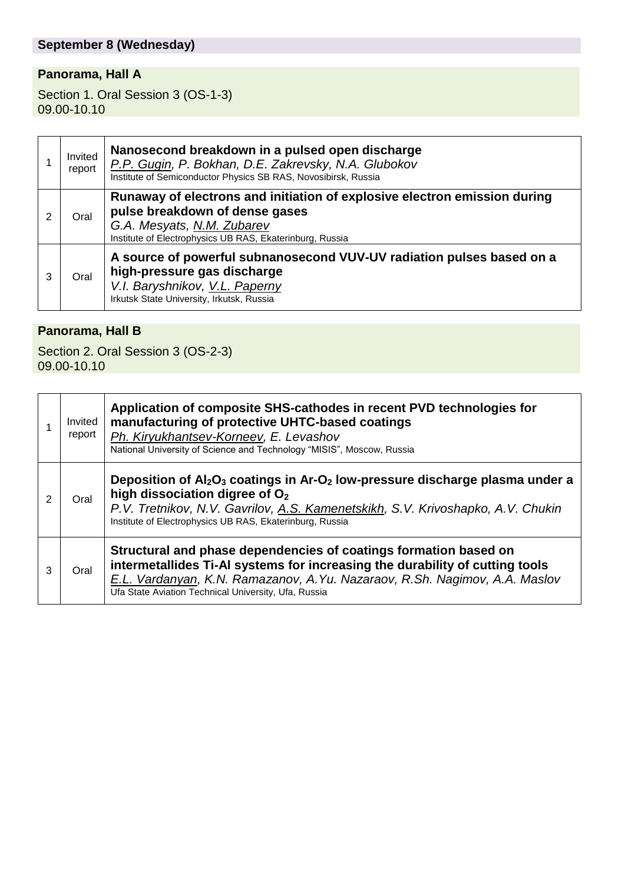## **September 8 (Wednesday)**

## **Panorama, Hall A**

Section 1. Oral Session 3 (OS-1-3) 09.00-10.10

|   | Invited<br>report | Nanosecond breakdown in a pulsed open discharge<br>P.P. Gugin, P. Bokhan, D.E. Zakrevsky, N.A. Glubokov<br>Institute of Semiconductor Physics SB RAS, Novosibirsk, Russia                             |
|---|-------------------|-------------------------------------------------------------------------------------------------------------------------------------------------------------------------------------------------------|
|   | Oral              | Runaway of electrons and initiation of explosive electron emission during<br>pulse breakdown of dense gases<br>G.A. Mesyats, N.M. Zubarev<br>Institute of Electrophysics UB RAS, Ekaterinburg, Russia |
| 3 | Oral              | A source of powerful subnanosecond VUV-UV radiation pulses based on a<br>high-pressure gas discharge<br>V.I. Baryshnikov, V.L. Paperny<br>Irkutsk State University, Irkutsk, Russia                   |

### **Panorama, Hall B**

Section 2. Oral Session 3 (OS-2-3) 09.00-10.10

|   | Invited<br>report | Application of composite SHS-cathodes in recent PVD technologies for<br>manufacturing of protective UHTC-based coatings<br>Ph. Kiryukhantsev-Korneev, E. Levashov<br>National University of Science and Technology "MISIS", Moscow, Russia                                             |
|---|-------------------|----------------------------------------------------------------------------------------------------------------------------------------------------------------------------------------------------------------------------------------------------------------------------------------|
| 2 | Oral              | Deposition of $Al_2O_3$ coatings in Ar-O <sub>2</sub> low-pressure discharge plasma under a<br>high dissociation digree of $O2$<br>P.V. Tretnikov, N.V. Gavrilov, A.S. Kamenetskikh, S.V. Krivoshapko, A.V. Chukin<br>Institute of Electrophysics UB RAS, Ekaterinburg, Russia         |
| 3 | Oral              | Structural and phase dependencies of coatings formation based on<br>intermetallides Ti-AI systems for increasing the durability of cutting tools<br>E.L. Vardanyan, K.N. Ramazanov, A.Yu. Nazaraov, R.Sh. Nagimov, A.A. Maslov<br>Ufa State Aviation Technical University, Ufa, Russia |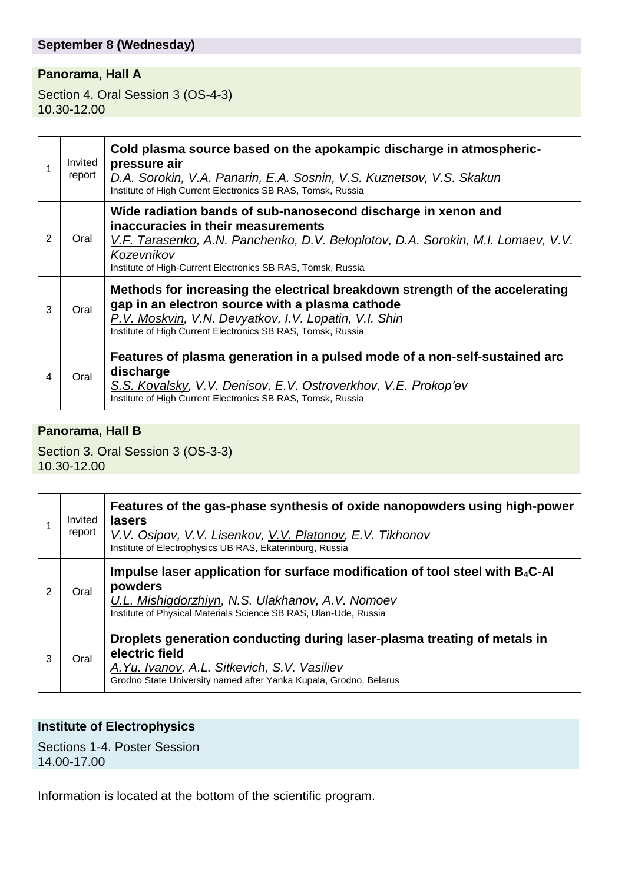#### **September 8 (Wednesday)**

#### **Panorama, Hall A**

Section 4. Oral Session 3 (OS-4-3) 10.30-12.00

|   | Invited<br>report | Cold plasma source based on the apokampic discharge in atmospheric-<br>pressure air<br>D.A. Sorokin, V.A. Panarin, E.A. Sosnin, V.S. Kuznetsov, V.S. Skakun<br>Institute of High Current Electronics SB RAS, Tomsk, Russia                                           |
|---|-------------------|----------------------------------------------------------------------------------------------------------------------------------------------------------------------------------------------------------------------------------------------------------------------|
| 2 | Oral              | Wide radiation bands of sub-nanosecond discharge in xenon and<br>inaccuracies in their measurements<br>V.F. Tarasenko, A.N. Panchenko, D.V. Beloplotov, D.A. Sorokin, M.I. Lomaev, V.V.<br>Kozevnikov<br>Institute of High-Current Electronics SB RAS, Tomsk, Russia |
| 3 | Oral              | Methods for increasing the electrical breakdown strength of the accelerating<br>gap in an electron source with a plasma cathode<br>P.V. Moskvin, V.N. Devyatkov, I.V. Lopatin, V.I. Shin<br>Institute of High Current Electronics SB RAS, Tomsk, Russia              |
| 4 | Oral              | Features of plasma generation in a pulsed mode of a non-self-sustained arc<br>discharge<br>S.S. Kovalsky, V.V. Denisov, E.V. Ostroverkhov, V.E. Prokop'ev<br>Institute of High Current Electronics SB RAS, Tomsk, Russia                                             |

#### **Panorama, Hall B**

Section 3. Oral Session 3 (OS-3-3) 10.30-12.00

|   | Invited<br>report | Features of the gas-phase synthesis of oxide nanopowders using high-power<br>lasers<br>V.V. Osipov, V.V. Lisenkov, V.V. Platonov, E.V. Tikhonov<br>Institute of Electrophysics UB RAS, Ekaterinburg, Russia         |
|---|-------------------|---------------------------------------------------------------------------------------------------------------------------------------------------------------------------------------------------------------------|
|   | Oral              | Impulse laser application for surface modification of tool steel with $B_4C$ -Al<br>powders<br>U.L. Mishigdorzhiyn, N.S. Ulakhanov, A.V. Nomoev<br>Institute of Physical Materials Science SB RAS, Ulan-Ude, Russia |
| 3 | Oral              | Droplets generation conducting during laser-plasma treating of metals in<br>electric field<br>A. Yu. Ivanov, A.L. Sitkevich, S.V. Vasiliev<br>Grodno State University named after Yanka Kupala, Grodno, Belarus     |

#### **Institute of Electrophysics**

Sections 1-4. Poster Session 14.00-17.00

Information is located at the bottom of the scientific program.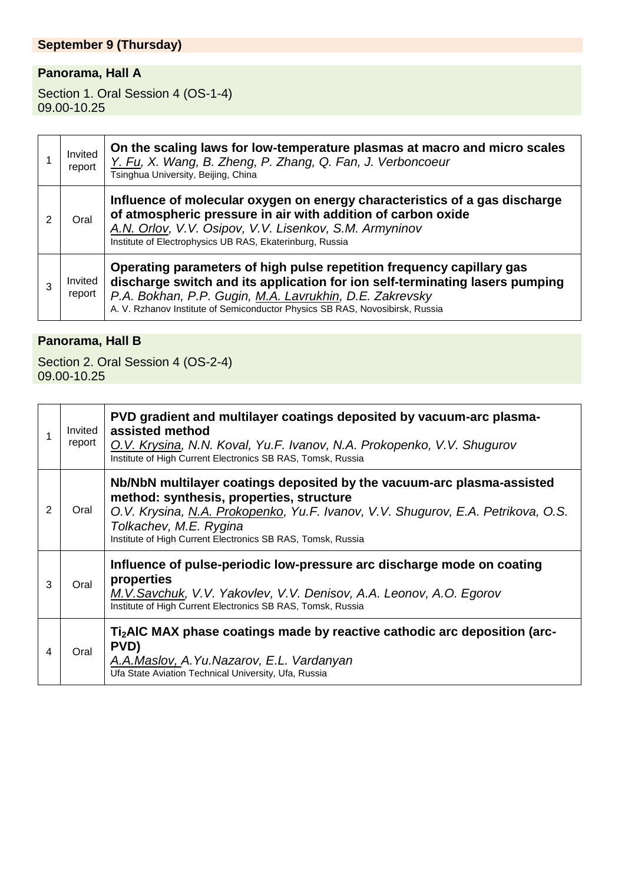## **September 9 (Thursday)**

## **Panorama, Hall A**

Section 1. Oral Session 4 (OS-1-4) 09.00-10.25

|   | Invited<br>report | On the scaling laws for low-temperature plasmas at macro and micro scales<br>Y. Fu, X. Wang, B. Zheng, P. Zhang, Q. Fan, J. Verboncoeur<br>Tsinghua University, Beijing, China                                                                                                                   |
|---|-------------------|--------------------------------------------------------------------------------------------------------------------------------------------------------------------------------------------------------------------------------------------------------------------------------------------------|
| 2 | Oral              | Influence of molecular oxygen on energy characteristics of a gas discharge<br>of atmospheric pressure in air with addition of carbon oxide<br>A.N. Orlov, V.V. Osipov, V.V. Lisenkov, S.M. Armyninov<br>Institute of Electrophysics UB RAS, Ekaterinburg, Russia                                 |
|   | Invited<br>report | Operating parameters of high pulse repetition frequency capillary gas<br>discharge switch and its application for ion self-terminating lasers pumping<br>P.A. Bokhan, P.P. Gugin, M.A. Lavrukhin, D.E. Zakrevsky<br>A. V. Rzhanov Institute of Semiconductor Physics SB RAS, Novosibirsk, Russia |

## **Panorama, Hall B**

Section 2. Oral Session 4 (OS-2-4) 09.00-10.25

|   | Invited<br>report | PVD gradient and multilayer coatings deposited by vacuum-arc plasma-<br>assisted method<br>O.V. Krysina, N.N. Koval, Yu.F. Ivanov, N.A. Prokopenko, V.V. Shugurov<br>Institute of High Current Electronics SB RAS, Tomsk, Russia                                                                |
|---|-------------------|-------------------------------------------------------------------------------------------------------------------------------------------------------------------------------------------------------------------------------------------------------------------------------------------------|
| 2 | Oral              | Nb/NbN multilayer coatings deposited by the vacuum-arc plasma-assisted<br>method: synthesis, properties, structure<br>O.V. Krysina, N.A. Prokopenko, Yu.F. Ivanov, V.V. Shugurov, E.A. Petrikova, O.S.<br>Tolkachev, M.E. Rygina<br>Institute of High Current Electronics SB RAS, Tomsk, Russia |
| 3 | Oral              | Influence of pulse-periodic low-pressure arc discharge mode on coating<br>properties<br>M.V.Savchuk, V.V. Yakovlev, V.V. Denisov, A.A. Leonov, A.O. Egorov<br>Institute of High Current Electronics SB RAS, Tomsk, Russia                                                                       |
| 4 | Oral              | Ti <sub>2</sub> AIC MAX phase coatings made by reactive cathodic arc deposition (arc-<br>PVD)<br>A.A.Maslov, A.Yu.Nazarov, E.L. Vardanyan<br>Ufa State Aviation Technical University, Ufa, Russia                                                                                               |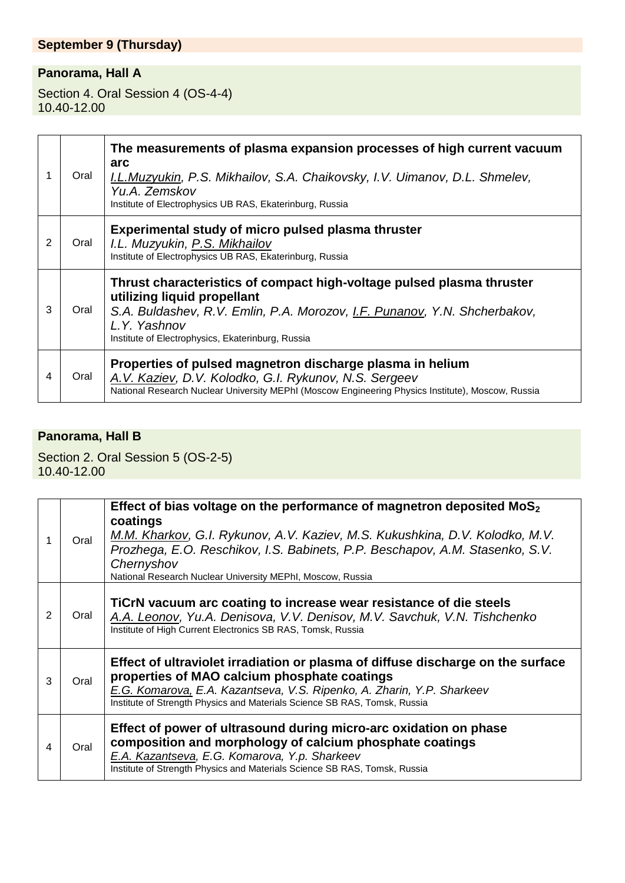## **September 9 (Thursday)**

## **Panorama, Hall A**

Section 4. Oral Session 4 (OS-4-4) 10.40-12.00

|   | Oral | The measurements of plasma expansion processes of high current vacuum<br>arc<br>I.L.Muzyukin, P.S. Mikhailov, S.A. Chaikovsky, I.V. Uimanov, D.L. Shmelev,<br>Yu.A. Zemskov<br>Institute of Electrophysics UB RAS, Ekaterinburg, Russia                |
|---|------|--------------------------------------------------------------------------------------------------------------------------------------------------------------------------------------------------------------------------------------------------------|
| 2 | Oral | Experimental study of micro pulsed plasma thruster<br>I.L. Muzyukin, P.S. Mikhailov<br>Institute of Electrophysics UB RAS, Ekaterinburg, Russia                                                                                                        |
| 3 | Oral | Thrust characteristics of compact high-voltage pulsed plasma thruster<br>utilizing liquid propellant<br>S.A. Buldashev, R.V. Emlin, P.A. Morozov, I.F. Punanov, Y.N. Shcherbakov,<br>L.Y. Yashnov<br>Institute of Electrophysics, Ekaterinburg, Russia |
| 4 | Oral | Properties of pulsed magnetron discharge plasma in helium<br>A.V. Kaziev, D.V. Kolodko, G.I. Rykunov, N.S. Sergeev<br>National Research Nuclear University MEPhI (Moscow Engineering Physics Institute), Moscow, Russia                                |

## **Panorama, Hall B**

Section 2. Oral Session 5 (OS-2-5) 10.40-12.00

|   | Oral | Effect of bias voltage on the performance of magnetron deposited $MoS2$<br>coatings<br>M.M. Kharkov, G.I. Rykunov, A.V. Kaziev, M.S. Kukushkina, D.V. Kolodko, M.V.<br>Prozhega, E.O. Reschikov, I.S. Babinets, P.P. Beschapov, A.M. Stasenko, S.V.<br>Chernyshov<br>National Research Nuclear University MEPhI, Moscow, Russia |
|---|------|---------------------------------------------------------------------------------------------------------------------------------------------------------------------------------------------------------------------------------------------------------------------------------------------------------------------------------|
| 2 | Oral | TiCrN vacuum arc coating to increase wear resistance of die steels<br>A.A. Leonov, Yu.A. Denisova, V.V. Denisov, M.V. Savchuk, V.N. Tishchenko<br>Institute of High Current Electronics SB RAS, Tomsk, Russia                                                                                                                   |
| 3 | Oral | Effect of ultraviolet irradiation or plasma of diffuse discharge on the surface<br>properties of MAO calcium phosphate coatings<br>E.G. Komarova, E.A. Kazantseva, V.S. Ripenko, A. Zharin, Y.P. Sharkeev<br>Institute of Strength Physics and Materials Science SB RAS, Tomsk, Russia                                          |
| 4 | Oral | Effect of power of ultrasound during micro-arc oxidation on phase<br>composition and morphology of calcium phosphate coatings<br>E.A. Kazantseva, E.G. Komarova, Y.p. Sharkeev<br>Institute of Strength Physics and Materials Science SB RAS, Tomsk, Russia                                                                     |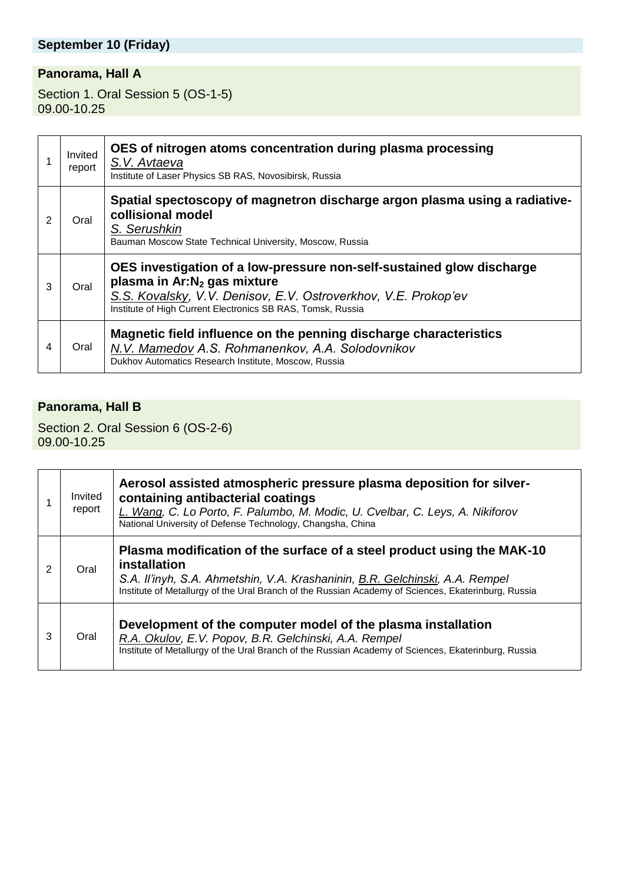## **September 10 (Friday)**

### **Panorama, Hall A**

Section 1. Oral Session 5 (OS-1-5) 09.00-10.25

|   | Invited<br>report | OES of nitrogen atoms concentration during plasma processing<br>S.V. Avtaeva<br>Institute of Laser Physics SB RAS, Novosibirsk, Russia                                                                                                            |
|---|-------------------|---------------------------------------------------------------------------------------------------------------------------------------------------------------------------------------------------------------------------------------------------|
| 2 | Oral              | Spatial spectoscopy of magnetron discharge argon plasma using a radiative-<br>collisional model<br>S. Serushkin<br>Bauman Moscow State Technical University, Moscow, Russia                                                                       |
| 3 | Oral              | OES investigation of a low-pressure non-self-sustained glow discharge<br>plasma in Ar:N <sub>2</sub> gas mixture<br>S.S. Kovalsky, V.V. Denisov, E.V. Ostroverkhov, V.E. Prokop'ev<br>Institute of High Current Electronics SB RAS, Tomsk, Russia |
| 4 | Oral              | Magnetic field influence on the penning discharge characteristics<br>N.V. Mamedov A.S. Rohmanenkov, A.A. Solodovnikov<br>Dukhov Automatics Research Institute, Moscow, Russia                                                                     |

#### **Panorama, Hall B**

Section 2. Oral Session 6 (OS-2-6) 09.00-10.25

|   | Invited<br>report | Aerosol assisted atmospheric pressure plasma deposition for silver-<br>containing antibacterial coatings<br>L. Wang, C. Lo Porto, F. Palumbo, M. Modic, U. Cvelbar, C. Leys, A. Nikiforov<br>National University of Defense Technology, Changsha, China                       |
|---|-------------------|-------------------------------------------------------------------------------------------------------------------------------------------------------------------------------------------------------------------------------------------------------------------------------|
| 2 | Oral              | Plasma modification of the surface of a steel product using the MAK-10<br>installation<br>S.A. Il'inyh, S.A. Ahmetshin, V.A. Krashaninin, B.R. Gelchinski, A.A. Rempel<br>Institute of Metallurgy of the Ural Branch of the Russian Academy of Sciences, Ekaterinburg, Russia |
| 3 | Oral              | Development of the computer model of the plasma installation<br>R.A. Okulov, E.V. Popov, B.R. Gelchinski, A.A. Rempel<br>Institute of Metallurgy of the Ural Branch of the Russian Academy of Sciences, Ekaterinburg, Russia                                                  |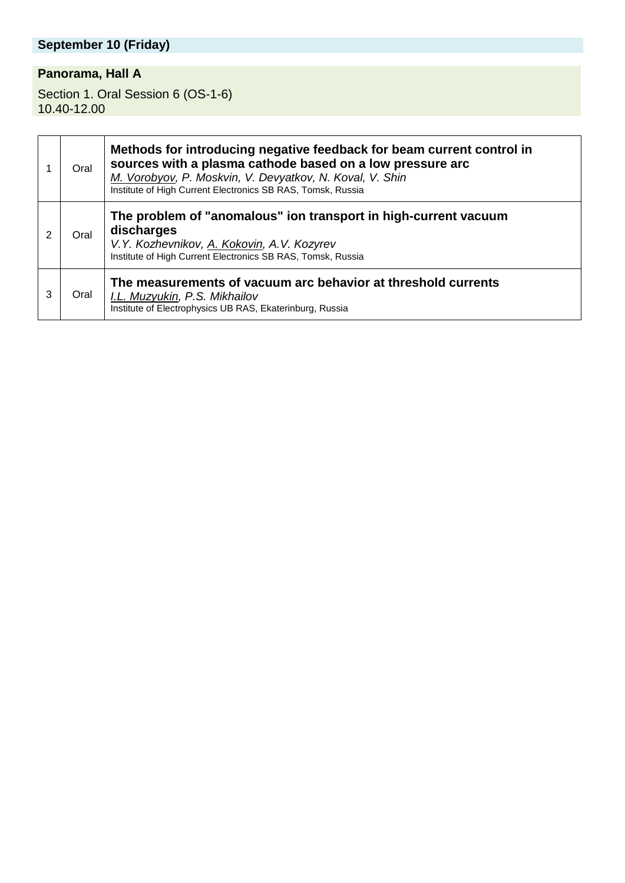# **September 10 (Friday)**

## **Panorama, Hall A**

Section 1. Oral Session 6 (OS-1-6) 10.40-12.00

|   | Oral | Methods for introducing negative feedback for beam current control in<br>sources with a plasma cathode based on a low pressure arc<br>M. Vorobyov, P. Moskvin, V. Devyatkov, N. Koval, V. Shin<br>Institute of High Current Electronics SB RAS, Tomsk, Russia |
|---|------|---------------------------------------------------------------------------------------------------------------------------------------------------------------------------------------------------------------------------------------------------------------|
| 2 | Oral | The problem of "anomalous" ion transport in high-current vacuum<br>discharges<br>V.Y. Kozhevnikov, A. Kokovin, A.V. Kozyrev<br>Institute of High Current Electronics SB RAS, Tomsk, Russia                                                                    |
| 3 | Oral | The measurements of vacuum arc behavior at threshold currents<br>I.L. Muzyukin, P.S. Mikhailov<br>Institute of Electrophysics UB RAS, Ekaterinburg, Russia                                                                                                    |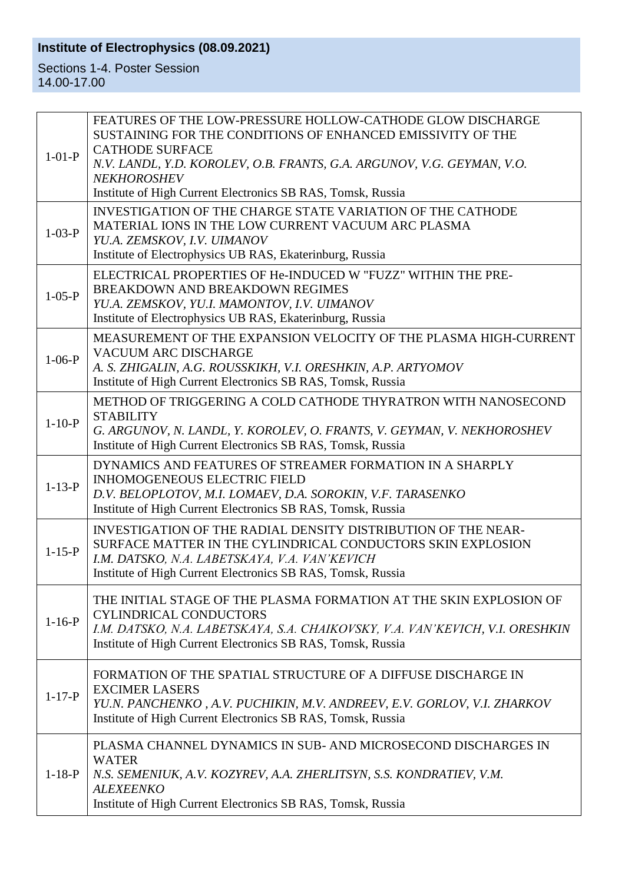## **Institute of Electrophysics (08.09.2021)**

Sections 1-4. Poster Session 14.00-17.00

| $1-01-P$     | FEATURES OF THE LOW-PRESSURE HOLLOW-CATHODE GLOW DISCHARGE<br>SUSTAINING FOR THE CONDITIONS OF ENHANCED EMISSIVITY OF THE<br><b>CATHODE SURFACE</b><br>N.V. LANDL, Y.D. KOROLEV, O.B. FRANTS, G.A. ARGUNOV, V.G. GEYMAN, V.O.<br><b>NEKHOROSHEV</b> |
|--------------|-----------------------------------------------------------------------------------------------------------------------------------------------------------------------------------------------------------------------------------------------------|
|              | Institute of High Current Electronics SB RAS, Tomsk, Russia                                                                                                                                                                                         |
| $1 - 03 - P$ | INVESTIGATION OF THE CHARGE STATE VARIATION OF THE CATHODE<br>MATERIAL IONS IN THE LOW CURRENT VACUUM ARC PLASMA<br>YU.A. ZEMSKOV, I.V. UIMANOV<br>Institute of Electrophysics UB RAS, Ekaterinburg, Russia                                         |
| $1 - 05 - P$ | ELECTRICAL PROPERTIES OF He-INDUCED W "FUZZ" WITHIN THE PRE-<br><b>BREAKDOWN AND BREAKDOWN REGIMES</b><br>YU.A. ZEMSKOV, YU.I. MAMONTOV, I.V. UIMANOV<br>Institute of Electrophysics UB RAS, Ekaterinburg, Russia                                   |
| $1-06-P$     | MEASUREMENT OF THE EXPANSION VELOCITY OF THE PLASMA HIGH-CURRENT<br><b>VACUUM ARC DISCHARGE</b><br>A. S. ZHIGALIN, A.G. ROUSSKIKH, V.I. ORESHKIN, A.P. ARTYOMOV<br>Institute of High Current Electronics SB RAS, Tomsk, Russia                      |
| $1 - 10 - P$ | METHOD OF TRIGGERING A COLD CATHODE THYRATRON WITH NANOSECOND<br><b>STABILITY</b><br>G. ARGUNOV, N. LANDL, Y. KOROLEV, O. FRANTS, V. GEYMAN, V. NEKHOROSHEV<br>Institute of High Current Electronics SB RAS, Tomsk, Russia                          |
| $1 - 13 - P$ | DYNAMICS AND FEATURES OF STREAMER FORMATION IN A SHARPLY<br><b>INHOMOGENEOUS ELECTRIC FIELD</b><br>D.V. BELOPLOTOV, M.I. LOMAEV, D.A. SOROKIN, V.F. TARASENKO<br>Institute of High Current Electronics SB RAS, Tomsk, Russia                        |
| $1 - 15 - P$ | INVESTIGATION OF THE RADIAL DENSITY DISTRIBUTION OF THE NEAR-<br>SURFACE MATTER IN THE CYLINDRICAL CONDUCTORS SKIN EXPLOSION<br>I.M. DATSKO, N.A. LABETSKAYA, V.A. VAN'KEVICH<br>Institute of High Current Electronics SB RAS, Tomsk, Russia        |
| $1 - 16 - P$ | THE INITIAL STAGE OF THE PLASMA FORMATION AT THE SKIN EXPLOSION OF<br>CYLINDRICAL CONDUCTORS<br>I.M. DATSKO, N.A. LABETSKAYA, S.A. CHAIKOVSKY, V.A. VAN'KEVICH, V.I. ORESHKIN<br>Institute of High Current Electronics SB RAS, Tomsk, Russia        |
| $1 - 17 - P$ | FORMATION OF THE SPATIAL STRUCTURE OF A DIFFUSE DISCHARGE IN<br><b>EXCIMER LASERS</b><br>YU.N. PANCHENKO, A.V. PUCHIKIN, M.V. ANDREEV, E.V. GORLOV, V.I. ZHARKOV<br>Institute of High Current Electronics SB RAS, Tomsk, Russia                     |
| $1 - 18 - P$ | PLASMA CHANNEL DYNAMICS IN SUB-AND MICROSECOND DISCHARGES IN<br><b>WATER</b><br>N.S. SEMENIUK, A.V. KOZYREV, A.A. ZHERLITSYN, S.S. KONDRATIEV, V.M.<br><b>ALEXEENKO</b><br>Institute of High Current Electronics SB RAS, Tomsk, Russia              |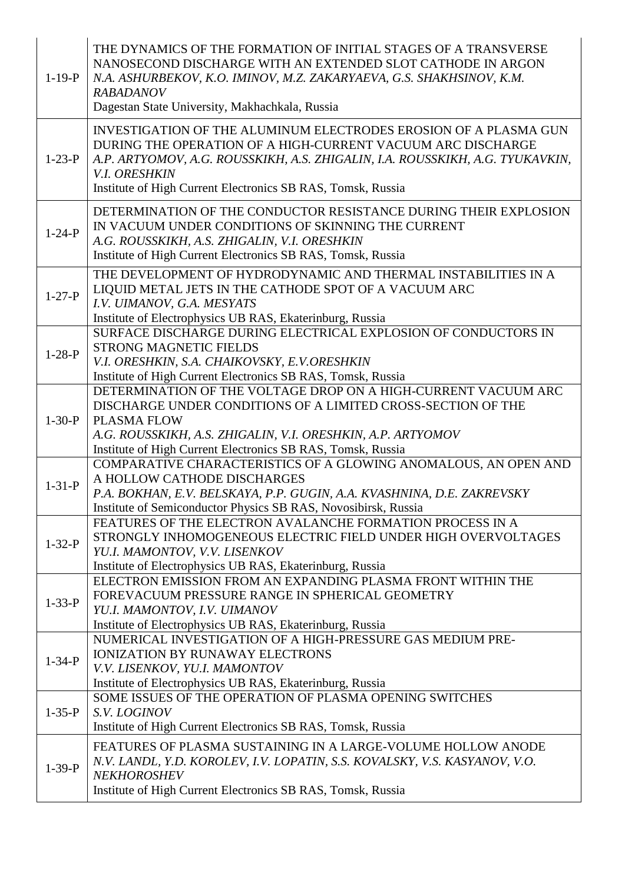| $1 - 19 - P$ | THE DYNAMICS OF THE FORMATION OF INITIAL STAGES OF A TRANSVERSE<br>NANOSECOND DISCHARGE WITH AN EXTENDED SLOT CATHODE IN ARGON<br>N.A. ASHURBEKOV, K.O. IMINOV, M.Z. ZAKARYAEVA, G.S. SHAKHSINOV, K.M.<br><b>RABADANOV</b><br>Dagestan State University, Makhachkala, Russia                            |
|--------------|---------------------------------------------------------------------------------------------------------------------------------------------------------------------------------------------------------------------------------------------------------------------------------------------------------|
| $1-23-P$     | INVESTIGATION OF THE ALUMINUM ELECTRODES EROSION OF A PLASMA GUN<br>DURING THE OPERATION OF A HIGH-CURRENT VACUUM ARC DISCHARGE<br>A.P. ARTYOMOV, A.G. ROUSSKIKH, A.S. ZHIGALIN, I.A. ROUSSKIKH, A.G. TYUKAVKIN,<br><b>V.I. ORESHKIN</b><br>Institute of High Current Electronics SB RAS, Tomsk, Russia |
| $1 - 24 - P$ | DETERMINATION OF THE CONDUCTOR RESISTANCE DURING THEIR EXPLOSION<br>IN VACUUM UNDER CONDITIONS OF SKINNING THE CURRENT<br>A.G. ROUSSKIKH, A.S. ZHIGALIN, V.I. ORESHKIN<br>Institute of High Current Electronics SB RAS, Tomsk, Russia                                                                   |
| $1 - 27 - P$ | THE DEVELOPMENT OF HYDRODYNAMIC AND THERMAL INSTABILITIES IN A<br>LIQUID METAL JETS IN THE CATHODE SPOT OF A VACUUM ARC<br>I.V. UIMANOV, G.A. MESYATS<br>Institute of Electrophysics UB RAS, Ekaterinburg, Russia                                                                                       |
| $1-28-P$     | SURFACE DISCHARGE DURING ELECTRICAL EXPLOSION OF CONDUCTORS IN<br><b>STRONG MAGNETIC FIELDS</b><br>V.I. ORESHKIN, S.A. CHAIKOVSKY, E.V.ORESHKIN<br>Institute of High Current Electronics SB RAS, Tomsk, Russia                                                                                          |
| $1 - 30 - P$ | DETERMINATION OF THE VOLTAGE DROP ON A HIGH-CURRENT VACUUM ARC<br>DISCHARGE UNDER CONDITIONS OF A LIMITED CROSS-SECTION OF THE<br><b>PLASMA FLOW</b><br>A.G. ROUSSKIKH, A.S. ZHIGALIN, V.I. ORESHKIN, A.P. ARTYOMOV<br>Institute of High Current Electronics SB RAS, Tomsk, Russia                      |
| $1 - 31 - P$ | COMPARATIVE CHARACTERISTICS OF A GLOWING ANOMALOUS, AN OPEN AND<br>A HOLLOW CATHODE DISCHARGES<br>P.A. BOKHAN, E.V. BELSKAYA, P.P. GUGIN, A.A. KVASHNINA, D.E. ZAKREVSKY<br>Institute of Semiconductor Physics SB RAS, Novosibirsk, Russia                                                              |
| $1 - 32 - P$ | FEATURES OF THE ELECTRON AVALANCHE FORMATION PROCESS IN A<br>STRONGLY INHOMOGENEOUS ELECTRIC FIELD UNDER HIGH OVERVOLTAGES<br>YU.I. MAMONTOV, V.V. LISENKOV<br>Institute of Electrophysics UB RAS, Ekaterinburg, Russia                                                                                 |
| $1 - 33 - P$ | ELECTRON EMISSION FROM AN EXPANDING PLASMA FRONT WITHIN THE<br>FOREVACUUM PRESSURE RANGE IN SPHERICAL GEOMETRY<br>YU.I. MAMONTOV, I.V. UIMANOV<br>Institute of Electrophysics UB RAS, Ekaterinburg, Russia                                                                                              |
| $1 - 34 - P$ | NUMERICAL INVESTIGATION OF A HIGH-PRESSURE GAS MEDIUM PRE-<br><b>IONIZATION BY RUNAWAY ELECTRONS</b><br>V.V. LISENKOV, YU.I. MAMONTOV<br>Institute of Electrophysics UB RAS, Ekaterinburg, Russia                                                                                                       |
| $1 - 35 - P$ | SOME ISSUES OF THE OPERATION OF PLASMA OPENING SWITCHES<br>S.V. LOGINOV<br>Institute of High Current Electronics SB RAS, Tomsk, Russia                                                                                                                                                                  |
| $1 - 39 - P$ | FEATURES OF PLASMA SUSTAINING IN A LARGE-VOLUME HOLLOW ANODE<br>N.V. LANDL, Y.D. KOROLEV, I.V. LOPATIN, S.S. KOVALSKY, V.S. KASYANOV, V.O.<br><b>NEKHOROSHEV</b><br>Institute of High Current Electronics SB RAS, Tomsk, Russia                                                                         |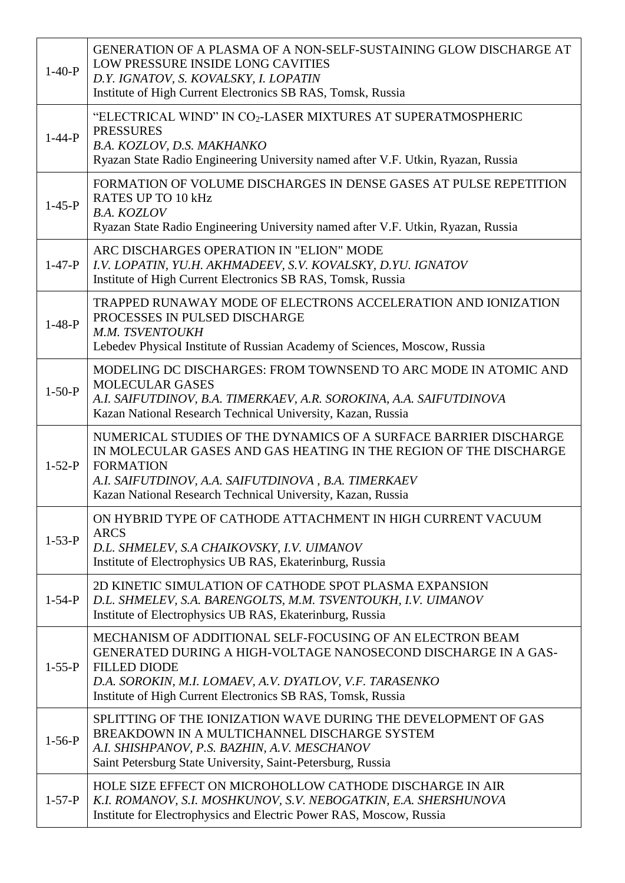| $1-40-P$     | GENERATION OF A PLASMA OF A NON-SELF-SUSTAINING GLOW DISCHARGE AT<br>LOW PRESSURE INSIDE LONG CAVITIES<br>D.Y. IGNATOV, S. KOVALSKY, I. LOPATIN<br>Institute of High Current Electronics SB RAS, Tomsk, Russia                                                                  |
|--------------|---------------------------------------------------------------------------------------------------------------------------------------------------------------------------------------------------------------------------------------------------------------------------------|
| $1 - 44 - P$ | "ELECTRICAL WIND" IN CO <sub>2</sub> -LASER MIXTURES AT SUPERATMOSPHERIC<br><b>PRESSURES</b><br>B.A. KOZLOV, D.S. MAKHANKO<br>Ryazan State Radio Engineering University named after V.F. Utkin, Ryazan, Russia                                                                  |
| $1-45-P$     | FORMATION OF VOLUME DISCHARGES IN DENSE GASES AT PULSE REPETITION<br><b>RATES UP TO 10 kHz</b><br><b>B.A. KOZLOV</b><br>Ryazan State Radio Engineering University named after V.F. Utkin, Ryazan, Russia                                                                        |
| $1-47-P$     | ARC DISCHARGES OPERATION IN "ELION" MODE<br>I.V. LOPATIN, YU.H. AKHMADEEV, S.V. KOVALSKY, D.YU. IGNATOV<br>Institute of High Current Electronics SB RAS, Tomsk, Russia                                                                                                          |
| $1-48-P$     | TRAPPED RUNAWAY MODE OF ELECTRONS ACCELERATION AND IONIZATION<br>PROCESSES IN PULSED DISCHARGE<br>M.M. TSVENTOUKH<br>Lebedev Physical Institute of Russian Academy of Sciences, Moscow, Russia                                                                                  |
| $1-50-P$     | MODELING DC DISCHARGES: FROM TOWNSEND TO ARC MODE IN ATOMIC AND<br><b>MOLECULAR GASES</b><br>A.I. SAIFUTDINOV, B.A. TIMERKAEV, A.R. SOROKINA, A.A. SAIFUTDINOVA<br>Kazan National Research Technical University, Kazan, Russia                                                  |
| $1 - 52 - P$ | NUMERICAL STUDIES OF THE DYNAMICS OF A SURFACE BARRIER DISCHARGE<br>IN MOLECULAR GASES AND GAS HEATING IN THE REGION OF THE DISCHARGE<br><b>FORMATION</b><br>A.I. SAIFUTDINOV, A.A. SAIFUTDINOVA, B.A. TIMERKAEV<br>Kazan National Research Technical University, Kazan, Russia |
| $1 - 53 - P$ | ON HYBRID TYPE OF CATHODE ATTACHMENT IN HIGH CURRENT VACUUM<br><b>ARCS</b><br>D.L. SHMELEV, S.A CHAIKOVSKY, I.V. UIMANOV<br>Institute of Electrophysics UB RAS, Ekaterinburg, Russia                                                                                            |
| $1 - 54 - P$ | 2D KINETIC SIMULATION OF CATHODE SPOT PLASMA EXPANSION<br>D.L. SHMELEV, S.A. BARENGOLTS, M.M. TSVENTOUKH, I.V. UIMANOV<br>Institute of Electrophysics UB RAS, Ekaterinburg, Russia                                                                                              |
| $1 - 55 - P$ | MECHANISM OF ADDITIONAL SELF-FOCUSING OF AN ELECTRON BEAM<br>GENERATED DURING A HIGH-VOLTAGE NANOSECOND DISCHARGE IN A GAS-<br><b>FILLED DIODE</b><br>D.A. SOROKIN, M.I. LOMAEV, A.V. DYATLOV, V.F. TARASENKO<br>Institute of High Current Electronics SB RAS, Tomsk, Russia    |
| $1 - 56 - P$ | SPLITTING OF THE IONIZATION WAVE DURING THE DEVELOPMENT OF GAS<br>BREAKDOWN IN A MULTICHANNEL DISCHARGE SYSTEM<br>A.I. SHISHPANOV, P.S. BAZHIN, A.V. MESCHANOV<br>Saint Petersburg State University, Saint-Petersburg, Russia                                                   |
| $1 - 57 - P$ | HOLE SIZE EFFECT ON MICROHOLLOW CATHODE DISCHARGE IN AIR<br>K.I. ROMANOV, S.I. MOSHKUNOV, S.V. NEBOGATKIN, E.A. SHERSHUNOVA<br>Institute for Electrophysics and Electric Power RAS, Moscow, Russia                                                                              |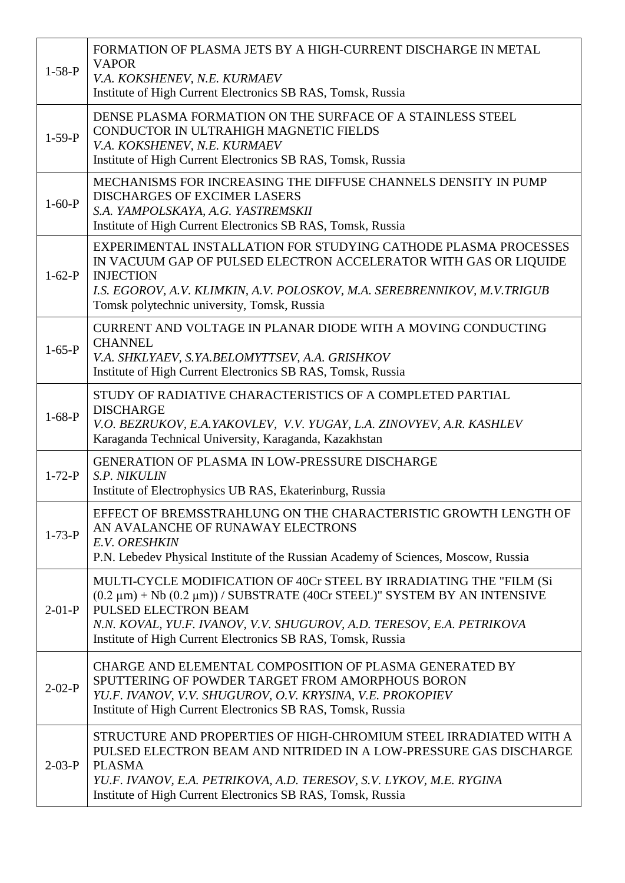| $1-58-P$     | FORMATION OF PLASMA JETS BY A HIGH-CURRENT DISCHARGE IN METAL<br><b>VAPOR</b><br>V.A. KOKSHENEV, N.E. KURMAEV<br>Institute of High Current Electronics SB RAS, Tomsk, Russia                                                                                                                                           |
|--------------|------------------------------------------------------------------------------------------------------------------------------------------------------------------------------------------------------------------------------------------------------------------------------------------------------------------------|
| $1-59-P$     | DENSE PLASMA FORMATION ON THE SURFACE OF A STAINLESS STEEL<br>CONDUCTOR IN ULTRAHIGH MAGNETIC FIELDS<br>V.A. KOKSHENEV, N.E. KURMAEV<br>Institute of High Current Electronics SB RAS, Tomsk, Russia                                                                                                                    |
| $1-60-P$     | MECHANISMS FOR INCREASING THE DIFFUSE CHANNELS DENSITY IN PUMP<br><b>DISCHARGES OF EXCIMER LASERS</b><br>S.A. YAMPOLSKAYA, A.G. YASTREMSKII<br>Institute of High Current Electronics SB RAS, Tomsk, Russia                                                                                                             |
| $1-62-P$     | EXPERIMENTAL INSTALLATION FOR STUDYING CATHODE PLASMA PROCESSES<br>IN VACUUM GAP OF PULSED ELECTRON ACCELERATOR WITH GAS OR LIQUIDE<br><b>INJECTION</b><br>I.S. EGOROV, A.V. KLIMKIN, A.V. POLOSKOV, M.A. SEREBRENNIKOV, M.V.TRIGUB<br>Tomsk polytechnic university, Tomsk, Russia                                     |
| $1-65-P$     | CURRENT AND VOLTAGE IN PLANAR DIODE WITH A MOVING CONDUCTING<br><b>CHANNEL</b><br>V.A. SHKLYAEV, S.YA.BELOMYTTSEV, A.A. GRISHKOV<br>Institute of High Current Electronics SB RAS, Tomsk, Russia                                                                                                                        |
| $1-68-P$     | STUDY OF RADIATIVE CHARACTERISTICS OF A COMPLETED PARTIAL<br><b>DISCHARGE</b><br>V.O. BEZRUKOV, E.A.YAKOVLEV, V.V. YUGAY, L.A. ZINOVYEV, A.R. KASHLEV<br>Karaganda Technical University, Karaganda, Kazakhstan                                                                                                         |
| $1 - 72 - P$ | <b>GENERATION OF PLASMA IN LOW-PRESSURE DISCHARGE</b><br>S.P. NIKULIN<br>Institute of Electrophysics UB RAS, Ekaterinburg, Russia                                                                                                                                                                                      |
| $1 - 73 - P$ | EFFECT OF BREMSSTRAHLUNG ON THE CHARACTERISTIC GROWTH LENGTH OF<br>AN AVALANCHE OF RUNAWAY ELECTRONS<br>E.V. ORESHKIN<br>P.N. Lebedev Physical Institute of the Russian Academy of Sciences, Moscow, Russia                                                                                                            |
| $2-01-P$     | MULTI-CYCLE MODIFICATION OF 40Cr STEEL BY IRRADIATING THE "FILM (Si<br>$(0.2 \mu m) + Nb (0.2 \mu m)$ / SUBSTRATE (40Cr STEEL)" SYSTEM BY AN INTENSIVE<br>PULSED ELECTRON BEAM<br>N.N. KOVAL, YU.F. IVANOV, V.V. SHUGUROV, A.D. TERESOV, E.A. PETRIKOVA<br>Institute of High Current Electronics SB RAS, Tomsk, Russia |
| $2 - 02 - P$ | CHARGE AND ELEMENTAL COMPOSITION OF PLASMA GENERATED BY<br>SPUTTERING OF POWDER TARGET FROM AMORPHOUS BORON<br>YU.F. IVANOV, V.V. SHUGUROV, O.V. KRYSINA, V.E. PROKOPIEV<br>Institute of High Current Electronics SB RAS, Tomsk, Russia                                                                                |
| $2 - 03 - P$ | STRUCTURE AND PROPERTIES OF HIGH-CHROMIUM STEEL IRRADIATED WITH A<br>PULSED ELECTRON BEAM AND NITRIDED IN A LOW-PRESSURE GAS DISCHARGE<br><b>PLASMA</b><br>YU.F. IVANOV, E.A. PETRIKOVA, A.D. TERESOV, S.V. LYKOV, M.E. RYGINA<br>Institute of High Current Electronics SB RAS, Tomsk, Russia                          |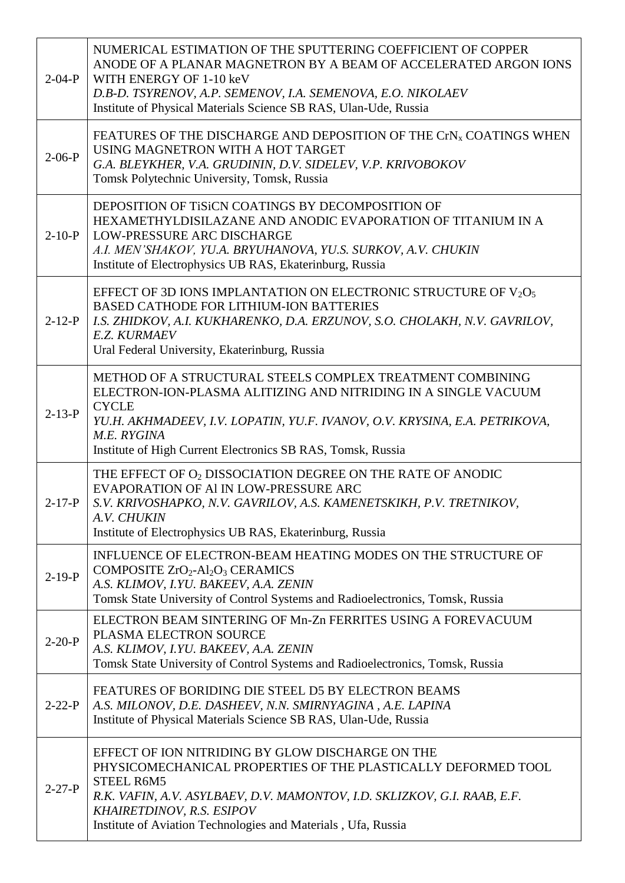| $2 - 04 - P$ | NUMERICAL ESTIMATION OF THE SPUTTERING COEFFICIENT OF COPPER<br>ANODE OF A PLANAR MAGNETRON BY A BEAM OF ACCELERATED ARGON IONS<br>WITH ENERGY OF 1-10 keV<br>D.B-D. TSYRENOV, A.P. SEMENOV, I.A. SEMENOVA, E.O. NIKOLAEV<br>Institute of Physical Materials Science SB RAS, Ulan-Ude, Russia             |
|--------------|-----------------------------------------------------------------------------------------------------------------------------------------------------------------------------------------------------------------------------------------------------------------------------------------------------------|
| $2-06-P$     | FEATURES OF THE DISCHARGE AND DEPOSITION OF THE CrN <sub>x</sub> COATINGS WHEN<br>USING MAGNETRON WITH A HOT TARGET<br>G.A. BLEYKHER, V.A. GRUDININ, D.V. SIDELEV, V.P. KRIVOBOKOV<br>Tomsk Polytechnic University, Tomsk, Russia                                                                         |
| $2-10-P$     | DEPOSITION OF TISICN COATINGS BY DECOMPOSITION OF<br>HEXAMETHYLDISILAZANE AND ANODIC EVAPORATION OF TITANIUM IN A<br>LOW-PRESSURE ARC DISCHARGE<br>A.I. MEN'SHAKOV, YU.A. BRYUHANOVA, YU.S. SURKOV, A.V. CHUKIN<br>Institute of Electrophysics UB RAS, Ekaterinburg, Russia                               |
| $2-12-P$     | EFFECT OF 3D IONS IMPLANTATION ON ELECTRONIC STRUCTURE OF $V_2O_5$<br><b>BASED CATHODE FOR LITHIUM-ION BATTERIES</b><br>I.S. ZHIDKOV, A.I. KUKHARENKO, D.A. ERZUNOV, S.O. CHOLAKH, N.V. GAVRILOV,<br><b>E.Z. KURMAEV</b><br>Ural Federal University, Ekaterinburg, Russia                                 |
| $2 - 13 - P$ | METHOD OF A STRUCTURAL STEELS COMPLEX TREATMENT COMBINING<br>ELECTRON-ION-PLASMA ALITIZING AND NITRIDING IN A SINGLE VACUUM<br><b>CYCLE</b><br>YU.H. AKHMADEEV, I.V. LOPATIN, YU.F. IVANOV, O.V. KRYSINA, E.A. PETRIKOVA,<br>M.E. RYGINA<br>Institute of High Current Electronics SB RAS, Tomsk, Russia   |
| $2 - 17 - P$ | THE EFFECT OF O <sub>2</sub> DISSOCIATION DEGREE ON THE RATE OF ANODIC<br>EVAPORATION OF AI IN LOW-PRESSURE ARC<br>S.V. KRIVOSHAPKO, N.V. GAVRILOV, A.S. KAMENETSKIKH, P.V. TRETNIKOV,<br>A.V. CHUKIN<br>Institute of Electrophysics UB RAS, Ekaterinburg, Russia                                         |
| $2-19-P$     | INFLUENCE OF ELECTRON-BEAM HEATING MODES ON THE STRUCTURE OF<br>COMPOSITE $ZrO_2$ -Al <sub>2</sub> O <sub>3</sub> CERAMICS<br>A.S. KLIMOV, I.YU. BAKEEV, A.A. ZENIN<br>Tomsk State University of Control Systems and Radioelectronics, Tomsk, Russia                                                      |
| $2 - 20 - P$ | ELECTRON BEAM SINTERING OF Mn-Zn FERRITES USING A FOREVACUUM<br>PLASMA ELECTRON SOURCE<br>A.S. KLIMOV, I.YU. BAKEEV, A.A. ZENIN<br>Tomsk State University of Control Systems and Radioelectronics, Tomsk, Russia                                                                                          |
| $2 - 22 - P$ | FEATURES OF BORIDING DIE STEEL D5 BY ELECTRON BEAMS<br>A.S. MILONOV, D.E. DASHEEV, N.N. SMIRNYAGINA, A.E. LAPINA<br>Institute of Physical Materials Science SB RAS, Ulan-Ude, Russia                                                                                                                      |
| $2 - 27 - P$ | EFFECT OF ION NITRIDING BY GLOW DISCHARGE ON THE<br>PHYSICOMECHANICAL PROPERTIES OF THE PLASTICALLY DEFORMED TOOL<br>STEEL R6M5<br>R.K. VAFIN, A.V. ASYLBAEV, D.V. MAMONTOV, I.D. SKLIZKOV, G.I. RAAB, E.F.<br>KHAIRETDINOV, R.S. ESIPOV<br>Institute of Aviation Technologies and Materials, Ufa, Russia |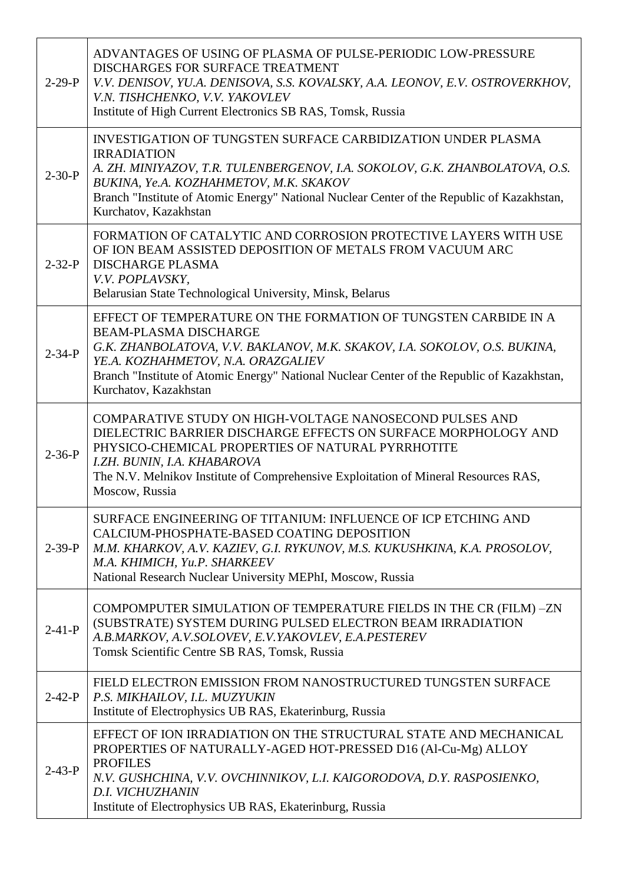| $2-29-P$     | ADVANTAGES OF USING OF PLASMA OF PULSE-PERIODIC LOW-PRESSURE<br>DISCHARGES FOR SURFACE TREATMENT<br>V.V. DENISOV, YU.A. DENISOVA, S.S. KOVALSKY, A.A. LEONOV, E.V. OSTROVERKHOV,<br>V.N. TISHCHENKO, V.V. YAKOVLEV<br>Institute of High Current Electronics SB RAS, Tomsk, Russia                                                         |
|--------------|-------------------------------------------------------------------------------------------------------------------------------------------------------------------------------------------------------------------------------------------------------------------------------------------------------------------------------------------|
| $2 - 30 - P$ | <b>INVESTIGATION OF TUNGSTEN SURFACE CARBIDIZATION UNDER PLASMA</b><br><b>IRRADIATION</b><br>A. ZH. MINIYAZOV, T.R. TULENBERGENOV, I.A. SOKOLOV, G.K. ZHANBOLATOVA, O.S.<br>BUKINA, Ye.A. KOZHAHMETOV, M.K. SKAKOV<br>Branch "Institute of Atomic Energy" National Nuclear Center of the Republic of Kazakhstan,<br>Kurchatov, Kazakhstan |
| $2 - 32 - P$ | FORMATION OF CATALYTIC AND CORROSION PROTECTIVE LAYERS WITH USE<br>OF ION BEAM ASSISTED DEPOSITION OF METALS FROM VACUUM ARC<br><b>DISCHARGE PLASMA</b><br>V.V. POPLAVSKY,<br>Belarusian State Technological University, Minsk, Belarus                                                                                                   |
| $2 - 34 - P$ | EFFECT OF TEMPERATURE ON THE FORMATION OF TUNGSTEN CARBIDE IN A<br><b>BEAM-PLASMA DISCHARGE</b><br>G.K. ZHANBOLATOVA, V.V. BAKLANOV, M.K. SKAKOV, I.A. SOKOLOV, O.S. BUKINA,<br>YE.A. KOZHAHMETOV, N.A. ORAZGALIEV<br>Branch "Institute of Atomic Energy" National Nuclear Center of the Republic of Kazakhstan,<br>Kurchatov, Kazakhstan |
| $2 - 36 - P$ | COMPARATIVE STUDY ON HIGH-VOLTAGE NANOSECOND PULSES AND<br>DIELECTRIC BARRIER DISCHARGE EFFECTS ON SURFACE MORPHOLOGY AND<br>PHYSICO-CHEMICAL PROPERTIES OF NATURAL PYRRHOTITE<br>I.ZH. BUNIN, I.A. KHABAROVA<br>The N.V. Melnikov Institute of Comprehensive Exploitation of Mineral Resources RAS,<br>Moscow, Russia                    |
| $2 - 39 - P$ | SURFACE ENGINEERING OF TITANIUM: INFLUENCE OF ICP ETCHING AND<br>CALCIUM-PHOSPHATE-BASED COATING DEPOSITION<br>M.M. KHARKOV, A.V. KAZIEV, G.I. RYKUNOV, M.S. KUKUSHKINA, K.A. PROSOLOV,<br>M.A. KHIMICH, Yu.P. SHARKEEV<br>National Research Nuclear University MEPhI, Moscow, Russia                                                     |
| $2 - 41 - P$ | COMPOMPUTER SIMULATION OF TEMPERATURE FIELDS IN THE CR (FILM) -ZN<br>(SUBSTRATE) SYSTEM DURING PULSED ELECTRON BEAM IRRADIATION<br>A.B.MARKOV, A.V.SOLOVEV, E.V.YAKOVLEV, E.A.PESTEREV<br>Tomsk Scientific Centre SB RAS, Tomsk, Russia                                                                                                   |
| $2 - 42 - P$ | FIELD ELECTRON EMISSION FROM NANOSTRUCTURED TUNGSTEN SURFACE<br>P.S. MIKHAILOV, I.L. MUZYUKIN<br>Institute of Electrophysics UB RAS, Ekaterinburg, Russia                                                                                                                                                                                 |
| $2 - 43 - P$ | EFFECT OF ION IRRADIATION ON THE STRUCTURAL STATE AND MECHANICAL<br>PROPERTIES OF NATURALLY-AGED HOT-PRESSED D16 (Al-Cu-Mg) ALLOY<br><b>PROFILES</b><br>N.V. GUSHCHINA, V.V. OVCHINNIKOV, L.I. KAIGORODOVA, D.Y. RASPOSIENKO,<br>D.I. VICHUZHANIN<br>Institute of Electrophysics UB RAS, Ekaterinburg, Russia                             |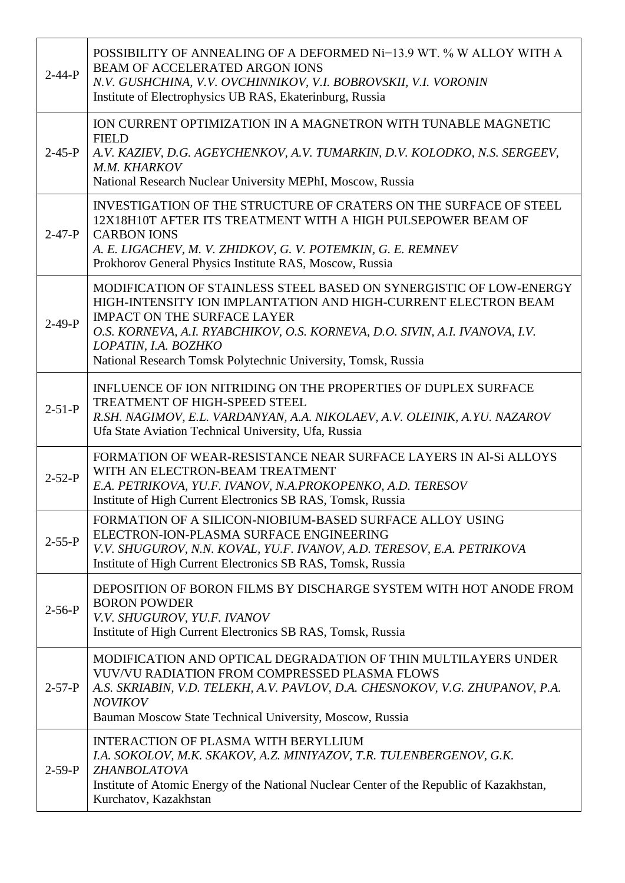| $2 - 44 - P$ | POSSIBILITY OF ANNEALING OF A DEFORMED Ni-13.9 WT. % W ALLOY WITH A<br><b>BEAM OF ACCELERATED ARGON IONS</b><br>N.V. GUSHCHINA, V.V. OVCHINNIKOV, V.I. BOBROVSKII, V.I. VORONIN<br>Institute of Electrophysics UB RAS, Ekaterinburg, Russia                                                                                                        |
|--------------|----------------------------------------------------------------------------------------------------------------------------------------------------------------------------------------------------------------------------------------------------------------------------------------------------------------------------------------------------|
| $2 - 45 - P$ | ION CURRENT OPTIMIZATION IN A MAGNETRON WITH TUNABLE MAGNETIC<br><b>FIELD</b><br>A.V. KAZIEV, D.G. AGEYCHENKOV, A.V. TUMARKIN, D.V. KOLODKO, N.S. SERGEEV,<br>M.M. KHARKOV<br>National Research Nuclear University MEPhI, Moscow, Russia                                                                                                           |
| $2 - 47 - P$ | INVESTIGATION OF THE STRUCTURE OF CRATERS ON THE SURFACE OF STEEL<br>12X18H10T AFTER ITS TREATMENT WITH A HIGH PULSEPOWER BEAM OF<br><b>CARBON IONS</b><br>A. E. LIGACHEV, M. V. ZHIDKOV, G. V. POTEMKIN, G. E. REMNEV<br>Prokhorov General Physics Institute RAS, Moscow, Russia                                                                  |
| $2 - 49 - P$ | MODIFICATION OF STAINLESS STEEL BASED ON SYNERGISTIC OF LOW-ENERGY<br>HIGH-INTENSITY ION IMPLANTATION AND HIGH-CURRENT ELECTRON BEAM<br><b>IMPACT ON THE SURFACE LAYER</b><br>O.S. KORNEVA, A.I. RYABCHIKOV, O.S. KORNEVA, D.O. SIVIN, A.I. IVANOVA, I.V.<br>LOPATIN, I.A. BOZHKO<br>National Research Tomsk Polytechnic University, Tomsk, Russia |
| $2 - 51 - P$ | INFLUENCE OF ION NITRIDING ON THE PROPERTIES OF DUPLEX SURFACE<br>TREATMENT OF HIGH-SPEED STEEL<br>R.SH. NAGIMOV, E.L. VARDANYAN, A.A. NIKOLAEV, A.V. OLEINIK, A.YU. NAZAROV<br>Ufa State Aviation Technical University, Ufa, Russia                                                                                                               |
| $2 - 52 - P$ | FORMATION OF WEAR-RESISTANCE NEAR SURFACE LAYERS IN Al-Si ALLOYS<br>WITH AN ELECTRON-BEAM TREATMENT<br>E.A. PETRIKOVA, YU.F. IVANOV, N.A. PROKOPENKO, A.D. TERESOV<br>Institute of High Current Electronics SB RAS, Tomsk, Russia                                                                                                                  |
| $2 - 55 - P$ | FORMATION OF A SILICON-NIOBIUM-BASED SURFACE ALLOY USING<br>ELECTRON-ION-PLASMA SURFACE ENGINEERING<br>V.V. SHUGUROV, N.N. KOVAL, YU.F. IVANOV, A.D. TERESOV, E.A. PETRIKOVA<br>Institute of High Current Electronics SB RAS, Tomsk, Russia                                                                                                        |
| $2 - 56 - P$ | DEPOSITION OF BORON FILMS BY DISCHARGE SYSTEM WITH HOT ANODE FROM<br><b>BORON POWDER</b><br>V.V. SHUGUROV, YU.F. IVANOV<br>Institute of High Current Electronics SB RAS, Tomsk, Russia                                                                                                                                                             |
| $2 - 57 - P$ | MODIFICATION AND OPTICAL DEGRADATION OF THIN MULTILAYERS UNDER<br><b>VUV/VU RADIATION FROM COMPRESSED PLASMA FLOWS</b><br>A.S. SKRIABIN, V.D. TELEKH, A.V. PAVLOV, D.A. CHESNOKOV, V.G. ZHUPANOV, P.A.<br><b>NOVIKOV</b><br>Bauman Moscow State Technical University, Moscow, Russia                                                               |
| $2 - 59 - P$ | <b>INTERACTION OF PLASMA WITH BERYLLIUM</b><br>I.A. SOKOLOV, M.K. SKAKOV, A.Z. MINIYAZOV, T.R. TULENBERGENOV, G.K.<br>ZHANBOLATOVA<br>Institute of Atomic Energy of the National Nuclear Center of the Republic of Kazakhstan,<br>Kurchatov, Kazakhstan                                                                                            |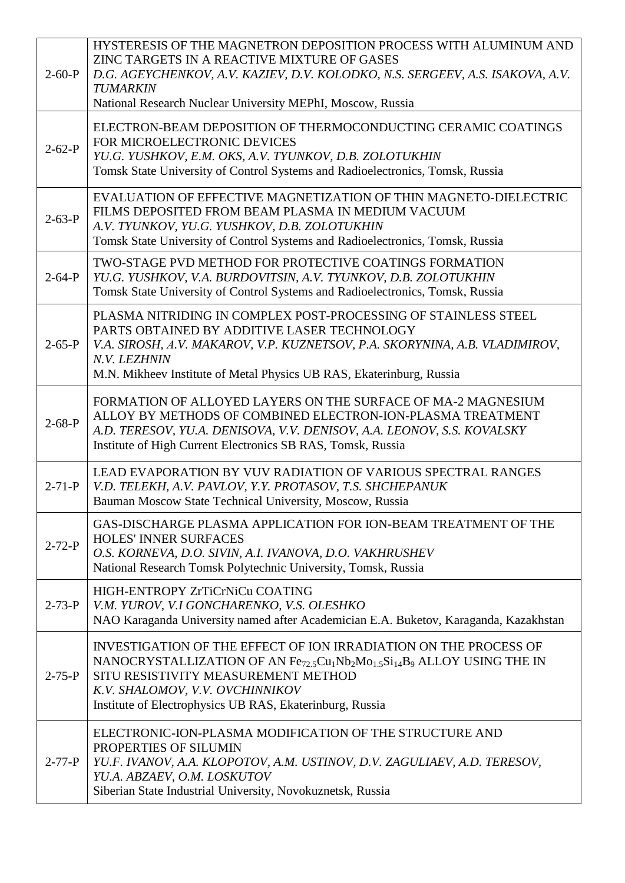| $2 - 60 - P$ | HYSTERESIS OF THE MAGNETRON DEPOSITION PROCESS WITH ALUMINUM AND<br>ZINC TARGETS IN A REACTIVE MIXTURE OF GASES<br>D.G. AGEYCHENKOV, A.V. KAZIEV, D.V. KOLODKO, N.S. SERGEEV, A.S. ISAKOVA, A.V.<br><b>TUMARKIN</b><br>National Research Nuclear University MEPhI, Moscow, Russia                                                                           |
|--------------|-------------------------------------------------------------------------------------------------------------------------------------------------------------------------------------------------------------------------------------------------------------------------------------------------------------------------------------------------------------|
| $2 - 62 - P$ | ELECTRON-BEAM DEPOSITION OF THERMOCONDUCTING CERAMIC COATINGS<br>FOR MICROELECTRONIC DEVICES<br>YU.G. YUSHKOV, E.M. OKS, A.V. TYUNKOV, D.B. ZOLOTUKHIN<br>Tomsk State University of Control Systems and Radioelectronics, Tomsk, Russia                                                                                                                     |
| $2 - 63 - P$ | EVALUATION OF EFFECTIVE MAGNETIZATION OF THIN MAGNETO-DIELECTRIC<br>FILMS DEPOSITED FROM BEAM PLASMA IN MEDIUM VACUUM<br>A.V. TYUNKOV, YU.G. YUSHKOV, D.B. ZOLOTUKHIN<br>Tomsk State University of Control Systems and Radioelectronics, Tomsk, Russia                                                                                                      |
| $2 - 64 - P$ | TWO-STAGE PVD METHOD FOR PROTECTIVE COATINGS FORMATION<br>YU.G. YUSHKOV, V.A. BURDOVITSIN, A.V. TYUNKOV, D.B. ZOLOTUKHIN<br>Tomsk State University of Control Systems and Radioelectronics, Tomsk, Russia                                                                                                                                                   |
| $2 - 65 - P$ | PLASMA NITRIDING IN COMPLEX POST-PROCESSING OF STAINLESS STEEL<br>PARTS OBTAINED BY ADDITIVE LASER TECHNOLOGY<br>V.A. SIROSH, A.V. MAKAROV, V.P. KUZNETSOV, P.A. SKORYNINA, A.B. VLADIMIROV,<br>N.V. LEZHNIN<br>M.N. Mikheev Institute of Metal Physics UB RAS, Ekaterinburg, Russia                                                                        |
| $2 - 68 - P$ | FORMATION OF ALLOYED LAYERS ON THE SURFACE OF MA-2 MAGNESIUM<br>ALLOY BY METHODS OF COMBINED ELECTRON-ION-PLASMA TREATMENT<br>A.D. TERESOV, YU.A. DENISOVA, V.V. DENISOV, A.A. LEONOV, S.S. KOVALSKY<br>Institute of High Current Electronics SB RAS, Tomsk, Russia                                                                                         |
| $2 - 71 - P$ | LEAD EVAPORATION BY VUV RADIATION OF VARIOUS SPECTRAL RANGES<br>V.D. TELEKH, A.V. PAVLOV, Y.Y. PROTASOV, T.S. SHCHEPANUK<br>Bauman Moscow State Technical University, Moscow, Russia                                                                                                                                                                        |
| $2 - 72 - P$ | <b>GAS-DISCHARGE PLASMA APPLICATION FOR ION-BEAM TREATMENT OF THE</b><br><b>HOLES' INNER SURFACES</b><br>O.S. KORNEVA, D.O. SIVIN, A.I. IVANOVA, D.O. VAKHRUSHEV<br>National Research Tomsk Polytechnic University, Tomsk, Russia                                                                                                                           |
| $2 - 73 - P$ | HIGH-ENTROPY ZrTiCrNiCu COATING<br>V.M. YUROV, V.I GONCHARENKO, V.S. OLESHKO<br>NAO Karaganda University named after Academician E.A. Buketov, Karaganda, Kazakhstan                                                                                                                                                                                        |
| $2 - 75 - P$ | INVESTIGATION OF THE EFFECT OF ION IRRADIATION ON THE PROCESS OF<br>NANOCRYSTALLIZATION OF AN Fe <sub>72.5</sub> Cu <sub>1</sub> Nb <sub>2</sub> Mo <sub>1.5</sub> Si <sub>14</sub> B <sub>9</sub> ALLOY USING THE IN<br>SITU RESISTIVITY MEASUREMENT METHOD<br>K.V. SHALOMOV, V.V. OVCHINNIKOV<br>Institute of Electrophysics UB RAS, Ekaterinburg, Russia |
| $2 - 77 - P$ | ELECTRONIC-ION-PLASMA MODIFICATION OF THE STRUCTURE AND<br>PROPERTIES OF SILUMIN<br>YU.F. IVANOV, A.A. KLOPOTOV, A.M. USTINOV, D.V. ZAGULIAEV, A.D. TERESOV,<br>YU.A. ABZAEV, O.M. LOSKUTOV<br>Siberian State Industrial University, Novokuznetsk, Russia                                                                                                   |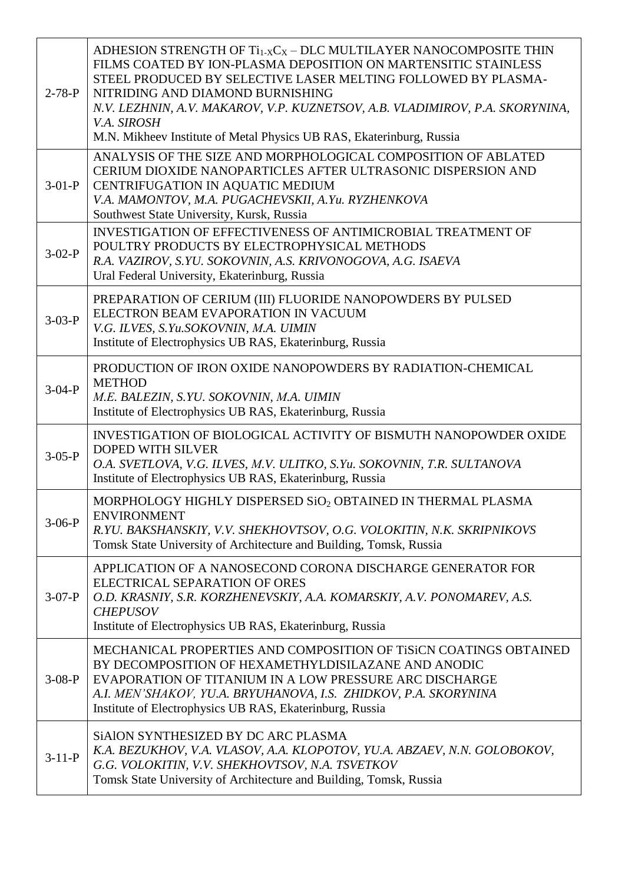| $2 - 78 - P$ | ADHESION STRENGTH OF Ti <sub>1-X</sub> C <sub>X</sub> - DLC MULTILAYER NANOCOMPOSITE THIN<br>FILMS COATED BY ION-PLASMA DEPOSITION ON MARTENSITIC STAINLESS<br>STEEL PRODUCED BY SELECTIVE LASER MELTING FOLLOWED BY PLASMA-<br>NITRIDING AND DIAMOND BURNISHING<br>N.V. LEZHNIN, A.V. MAKAROV, V.P. KUZNETSOV, A.B. VLADIMIROV, P.A. SKORYNINA,<br>V.A. SIROSH<br>M.N. Mikheev Institute of Metal Physics UB RAS, Ekaterinburg, Russia |
|--------------|-----------------------------------------------------------------------------------------------------------------------------------------------------------------------------------------------------------------------------------------------------------------------------------------------------------------------------------------------------------------------------------------------------------------------------------------|
| $3-01-P$     | ANALYSIS OF THE SIZE AND MORPHOLOGICAL COMPOSITION OF ABLATED<br>CERIUM DIOXIDE NANOPARTICLES AFTER ULTRASONIC DISPERSION AND<br>CENTRIFUGATION IN AQUATIC MEDIUM<br>V.A. MAMONTOV, M.A. PUGACHEVSKII, A.Yu. RYZHENKOVA<br>Southwest State University, Kursk, Russia                                                                                                                                                                    |
| $3-02-P$     | <b>INVESTIGATION OF EFFECTIVENESS OF ANTIMICROBIAL TREATMENT OF</b><br>POULTRY PRODUCTS BY ELECTROPHYSICAL METHODS<br>R.A. VAZIROV, S.YU. SOKOVNIN, A.S. KRIVONOGOVA, A.G. ISAEVA<br>Ural Federal University, Ekaterinburg, Russia                                                                                                                                                                                                      |
| $3-03-P$     | PREPARATION OF CERIUM (III) FLUORIDE NANOPOWDERS BY PULSED<br>ELECTRON BEAM EVAPORATION IN VACUUM<br>V.G. ILVES, S.Yu.SOKOVNIN, M.A. UIMIN<br>Institute of Electrophysics UB RAS, Ekaterinburg, Russia                                                                                                                                                                                                                                  |
| $3-04-P$     | PRODUCTION OF IRON OXIDE NANOPOWDERS BY RADIATION-CHEMICAL<br><b>METHOD</b><br>M.E. BALEZIN, S.YU. SOKOVNIN, M.A. UIMIN<br>Institute of Electrophysics UB RAS, Ekaterinburg, Russia                                                                                                                                                                                                                                                     |
| $3-05-P$     | INVESTIGATION OF BIOLOGICAL ACTIVITY OF BISMUTH NANOPOWDER OXIDE<br><b>DOPED WITH SILVER</b><br>O.A. SVETLOVA, V.G. ILVES, M.V. ULITKO, S.Yu. SOKOVNIN, T.R. SULTANOVA<br>Institute of Electrophysics UB RAS, Ekaterinburg, Russia                                                                                                                                                                                                      |
| $3-06-P$     | MORPHOLOGY HIGHLY DISPERSED SiO <sub>2</sub> OBTAINED IN THERMAL PLASMA<br><b>ENVIRONMENT</b><br>R.YU. BAKSHANSKIY, V.V. SHEKHOVTSOV, O.G. VOLOKITIN, N.K. SKRIPNIKOVS<br>Tomsk State University of Architecture and Building, Tomsk, Russia                                                                                                                                                                                            |
| $3-07-P$     | APPLICATION OF A NANOSECOND CORONA DISCHARGE GENERATOR FOR<br>ELECTRICAL SEPARATION OF ORES<br>O.D. KRASNIY, S.R. KORZHENEVSKIY, A.A. KOMARSKIY, A.V. PONOMAREV, A.S.<br><b>CHEPUSOV</b><br>Institute of Electrophysics UB RAS, Ekaterinburg, Russia                                                                                                                                                                                    |
| $3-08-P$     | MECHANICAL PROPERTIES AND COMPOSITION OF TISICN COATINGS OBTAINED<br>BY DECOMPOSITION OF HEXAMETHYLDISILAZANE AND ANODIC<br>EVAPORATION OF TITANIUM IN A LOW PRESSURE ARC DISCHARGE<br>A.I. MEN'SHAKOV, YU.A. BRYUHANOVA, I.S. ZHIDKOV, P.A. SKORYNINA<br>Institute of Electrophysics UB RAS, Ekaterinburg, Russia                                                                                                                      |
| $3-11-P$     | SIAION SYNTHESIZED BY DC ARC PLASMA<br>K.A. BEZUKHOV, V.A. VLASOV, A.A. KLOPOTOV, YU.A. ABZAEV, N.N. GOLOBOKOV,<br>G.G. VOLOKITIN, V.V. SHEKHOVTSOV, N.A. TSVETKOV<br>Tomsk State University of Architecture and Building, Tomsk, Russia                                                                                                                                                                                                |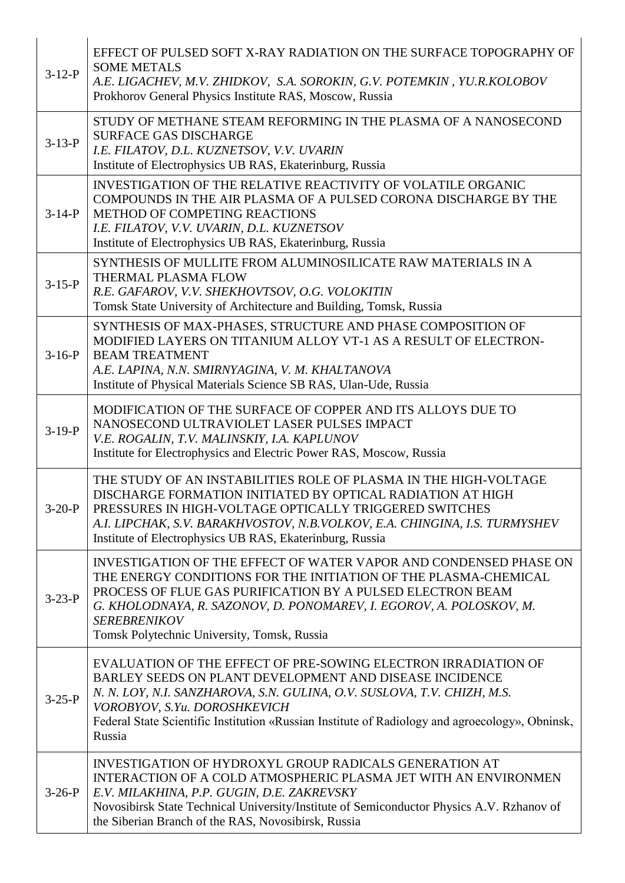| $3-12-P$     | EFFECT OF PULSED SOFT X-RAY RADIATION ON THE SURFACE TOPOGRAPHY OF<br><b>SOME METALS</b><br>A.E. LIGACHEV, M.V. ZHIDKOV, S.A. SOROKIN, G.V. POTEMKIN, YU.R.KOLOBOV<br>Prokhorov General Physics Institute RAS, Moscow, Russia                                                                                                                     |
|--------------|---------------------------------------------------------------------------------------------------------------------------------------------------------------------------------------------------------------------------------------------------------------------------------------------------------------------------------------------------|
| $3 - 13 - P$ | STUDY OF METHANE STEAM REFORMING IN THE PLASMA OF A NANOSECOND<br><b>SURFACE GAS DISCHARGE</b><br>I.E. FILATOV, D.L. KUZNETSOV, V.V. UVARIN<br>Institute of Electrophysics UB RAS, Ekaterinburg, Russia                                                                                                                                           |
| $3-14-P$     | INVESTIGATION OF THE RELATIVE REACTIVITY OF VOLATILE ORGANIC<br>COMPOUNDS IN THE AIR PLASMA OF A PULSED CORONA DISCHARGE BY THE<br><b>METHOD OF COMPETING REACTIONS</b><br>I.E. FILATOV, V.V. UVARIN, D.L. KUZNETSOV<br>Institute of Electrophysics UB RAS, Ekaterinburg, Russia                                                                  |
| $3-15-P$     | SYNTHESIS OF MULLITE FROM ALUMINOSILICATE RAW MATERIALS IN A<br>THERMAL PLASMA FLOW<br>R.E. GAFAROV, V.V. SHEKHOVTSOV, O.G. VOLOKITIN<br>Tomsk State University of Architecture and Building, Tomsk, Russia                                                                                                                                       |
| $3-16-P$     | SYNTHESIS OF MAX-PHASES, STRUCTURE AND PHASE COMPOSITION OF<br>MODIFIED LAYERS ON TITANIUM ALLOY VT-1 AS A RESULT OF ELECTRON-<br><b>BEAM TREATMENT</b><br>A.E. LAPINA, N.N. SMIRNYAGINA, V. M. KHALTANOVA<br>Institute of Physical Materials Science SB RAS, Ulan-Ude, Russia                                                                    |
| $3-19-P$     | MODIFICATION OF THE SURFACE OF COPPER AND ITS ALLOYS DUE TO<br>NANOSECOND ULTRAVIOLET LASER PULSES IMPACT<br>V.E. ROGALIN, T.V. MALINSKIY, I.A. KAPLUNOV<br>Institute for Electrophysics and Electric Power RAS, Moscow, Russia                                                                                                                   |
| $3-20-P$     | THE STUDY OF AN INSTABILITIES ROLE OF PLASMA IN THE HIGH-VOLTAGE<br>DISCHARGE FORMATION INITIATED BY OPTICAL RADIATION AT HIGH<br>PRESSURES IN HIGH-VOLTAGE OPTICALLY TRIGGERED SWITCHES<br>A.I. LIPCHAK, S.V. BARAKHVOSTOV, N.B.VOLKOV, E.A. CHINGINA, I.S. TURMYSHEV<br>Institute of Electrophysics UB RAS, Ekaterinburg, Russia                |
| $3 - 23 - P$ | INVESTIGATION OF THE EFFECT OF WATER VAPOR AND CONDENSED PHASE ON<br>THE ENERGY CONDITIONS FOR THE INITIATION OF THE PLASMA-CHEMICAL<br>PROCESS OF FLUE GAS PURIFICATION BY A PULSED ELECTRON BEAM<br>G. KHOLODNAYA, R. SAZONOV, D. PONOMAREV, I. EGOROV, A. POLOSKOV, M.<br><b>SEREBRENIKOV</b><br>Tomsk Polytechnic University, Tomsk, Russia   |
| $3-25-P$     | EVALUATION OF THE EFFECT OF PRE-SOWING ELECTRON IRRADIATION OF<br>BARLEY SEEDS ON PLANT DEVELOPMENT AND DISEASE INCIDENCE<br>N. N. LOY, N.I. SANZHAROVA, S.N. GULINA, O.V. SUSLOVA, T.V. CHIZH, M.S.<br>VOROBYOV, S.Yu. DOROSHKEVICH<br>Federal State Scientific Institution «Russian Institute of Radiology and agroecology», Obninsk,<br>Russia |
| $3-26-P$     | <b>INVESTIGATION OF HYDROXYL GROUP RADICALS GENERATION AT</b><br>INTERACTION OF A COLD ATMOSPHERIC PLASMA JET WITH AN ENVIRONMEN<br>E.V. MILAKHINA, P.P. GUGIN, D.E. ZAKREVSKY<br>Novosibirsk State Technical University/Institute of Semiconductor Physics A.V. Rzhanov of<br>the Siberian Branch of the RAS, Novosibirsk, Russia                |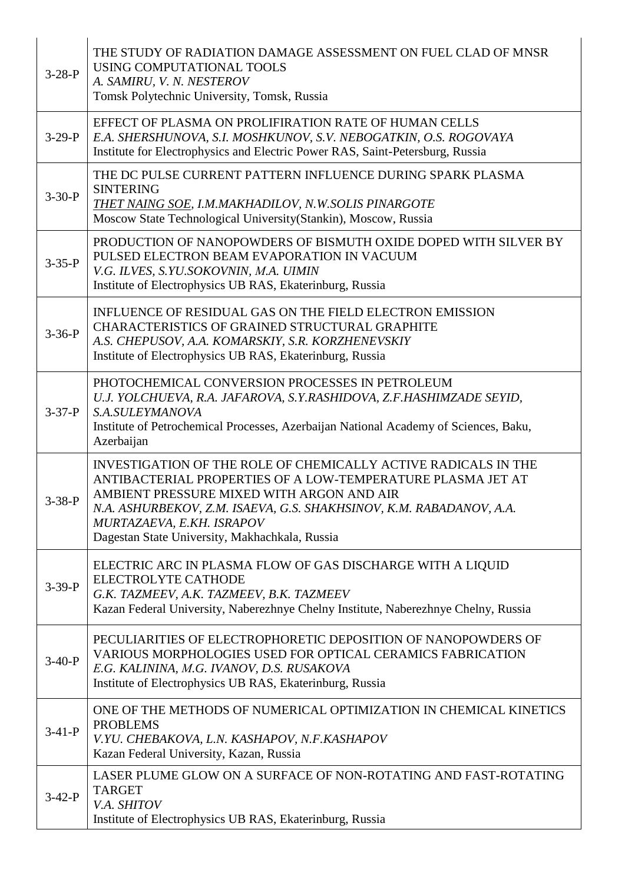| $3-28-P$     | THE STUDY OF RADIATION DAMAGE ASSESSMENT ON FUEL CLAD OF MNSR<br>USING COMPUTATIONAL TOOLS<br>A. SAMIRU, V. N. NESTEROV<br>Tomsk Polytechnic University, Tomsk, Russia                                                                                                                                                           |
|--------------|----------------------------------------------------------------------------------------------------------------------------------------------------------------------------------------------------------------------------------------------------------------------------------------------------------------------------------|
| $3-29-P$     | EFFECT OF PLASMA ON PROLIFIRATION RATE OF HUMAN CELLS<br>E.A. SHERSHUNOVA, S.I. MOSHKUNOV, S.V. NEBOGATKIN, O.S. ROGOVAYA<br>Institute for Electrophysics and Electric Power RAS, Saint-Petersburg, Russia                                                                                                                       |
| $3 - 30 - P$ | THE DC PULSE CURRENT PATTERN INFLUENCE DURING SPARK PLASMA<br><b>SINTERING</b><br>THET NAING SOE, I.M.MAKHADILOV, N.W.SOLIS PINARGOTE<br>Moscow State Technological University (Stankin), Moscow, Russia                                                                                                                         |
| $3 - 35 - P$ | PRODUCTION OF NANOPOWDERS OF BISMUTH OXIDE DOPED WITH SILVER BY<br>PULSED ELECTRON BEAM EVAPORATION IN VACUUM<br>V.G. ILVES, S.YU.SOKOVNIN, M.A. UIMIN<br>Institute of Electrophysics UB RAS, Ekaterinburg, Russia                                                                                                               |
| $3 - 36 - P$ | INFLUENCE OF RESIDUAL GAS ON THE FIELD ELECTRON EMISSION<br>CHARACTERISTICS OF GRAINED STRUCTURAL GRAPHITE<br>A.S. CHEPUSOV, A.A. KOMARSKIY, S.R. KORZHENEVSKIY<br>Institute of Electrophysics UB RAS, Ekaterinburg, Russia                                                                                                      |
| $3 - 37 - P$ | PHOTOCHEMICAL CONVERSION PROCESSES IN PETROLEUM<br>U.J. YOLCHUEVA, R.A. JAFAROVA, S.Y.RASHIDOVA, Z.F.HASHIMZADE SEYID,<br>S.A.SULEYMANOVA<br>Institute of Petrochemical Processes, Azerbaijan National Academy of Sciences, Baku,<br>Azerbaijan                                                                                  |
| $3 - 38 - P$ | INVESTIGATION OF THE ROLE OF CHEMICALLY ACTIVE RADICALS IN THE<br>ANTIBACTERIAL PROPERTIES OF A LOW-TEMPERATURE PLASMA JET AT<br>AMBIENT PRESSURE MIXED WITH ARGON AND AIR<br>N.A. ASHURBEKOV, Z.M. ISAEVA, G.S. SHAKHSINOV, K.M. RABADANOV, A.A.<br>MURTAZAEVA, E.KH. ISRAPOV<br>Dagestan State University, Makhachkala, Russia |
| $3-39-P$     | ELECTRIC ARC IN PLASMA FLOW OF GAS DISCHARGE WITH A LIQUID<br>ELECTROLYTE CATHODE<br>G.K. TAZMEEV, A.K. TAZMEEV, B.K. TAZMEEV<br>Kazan Federal University, Naberezhnye Chelny Institute, Naberezhnye Chelny, Russia                                                                                                              |
| $3-40-P$     | PECULIARITIES OF ELECTROPHORETIC DEPOSITION OF NANOPOWDERS OF<br>VARIOUS MORPHOLOGIES USED FOR OPTICAL CERAMICS FABRICATION<br>E.G. KALININA, M.G. IVANOV, D.S. RUSAKOVA<br>Institute of Electrophysics UB RAS, Ekaterinburg, Russia                                                                                             |
| $3-41-P$     | ONE OF THE METHODS OF NUMERICAL OPTIMIZATION IN CHEMICAL KINETICS<br><b>PROBLEMS</b><br>V.YU. CHEBAKOVA, L.N. KASHAPOV, N.F.KASHAPOV<br>Kazan Federal University, Kazan, Russia                                                                                                                                                  |
| $3-42-P$     | LASER PLUME GLOW ON A SURFACE OF NON-ROTATING AND FAST-ROTATING<br><b>TARGET</b><br>V.A. SHITOV<br>Institute of Electrophysics UB RAS, Ekaterinburg, Russia                                                                                                                                                                      |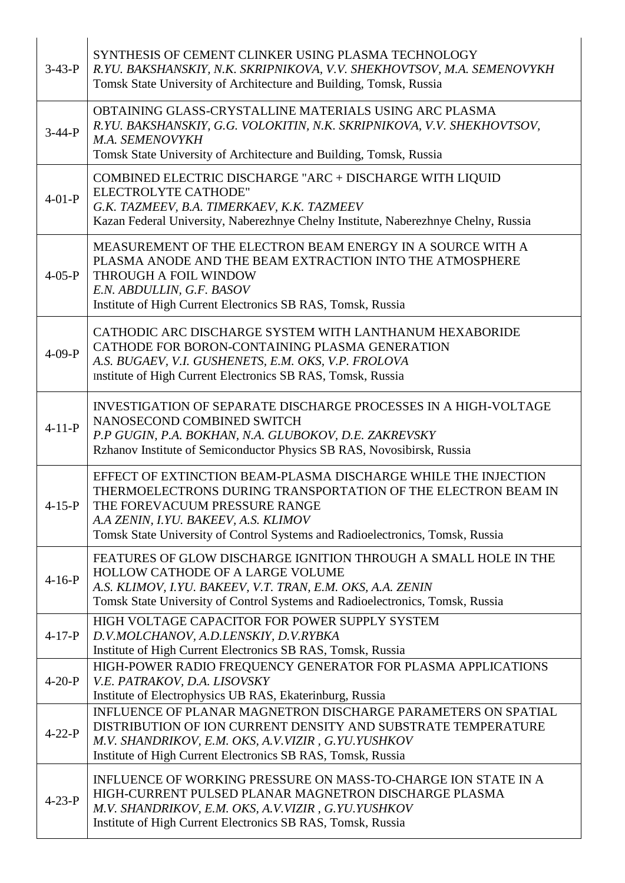| $3-43-P$     | SYNTHESIS OF CEMENT CLINKER USING PLASMA TECHNOLOGY<br>R.YU. BAKSHANSKIY, N.K. SKRIPNIKOVA, V.V. SHEKHOVTSOV, M.A. SEMENOVYKH<br>Tomsk State University of Architecture and Building, Tomsk, Russia                                                                                       |
|--------------|-------------------------------------------------------------------------------------------------------------------------------------------------------------------------------------------------------------------------------------------------------------------------------------------|
| $3-44-P$     | OBTAINING GLASS-CRYSTALLINE MATERIALS USING ARC PLASMA<br>R.YU. BAKSHANSKIY, G.G. VOLOKITIN, N.K. SKRIPNIKOVA, V.V. SHEKHOVTSOV,<br>M.A. SEMENOVYKH<br>Tomsk State University of Architecture and Building, Tomsk, Russia                                                                 |
| $4-01-P$     | COMBINED ELECTRIC DISCHARGE "ARC + DISCHARGE WITH LIQUID<br>ELECTROLYTE CATHODE"<br>G.K. TAZMEEV, B.A. TIMERKAEV, K.K. TAZMEEV<br>Kazan Federal University, Naberezhnye Chelny Institute, Naberezhnye Chelny, Russia                                                                      |
| $4 - 05 - P$ | MEASUREMENT OF THE ELECTRON BEAM ENERGY IN A SOURCE WITH A<br>PLASMA ANODE AND THE BEAM EXTRACTION INTO THE ATMOSPHERE<br><b>THROUGH A FOIL WINDOW</b><br>E.N. ABDULLIN, G.F. BASOV<br>Institute of High Current Electronics SB RAS, Tomsk, Russia                                        |
| $4-09-P$     | CATHODIC ARC DISCHARGE SYSTEM WITH LANTHANUM HEXABORIDE<br>CATHODE FOR BORON-CONTAINING PLASMA GENERATION<br>A.S. BUGAEV, V.I. GUSHENETS, E.M. OKS, V.P. FROLOVA<br>Institute of High Current Electronics SB RAS, Tomsk, Russia                                                           |
| $4 - 11 - P$ | <b>INVESTIGATION OF SEPARATE DISCHARGE PROCESSES IN A HIGH-VOLTAGE</b><br>NANOSECOND COMBINED SWITCH<br>P.P GUGIN, P.A. BOKHAN, N.A. GLUBOKOV, D.E. ZAKREVSKY<br>Rzhanov Institute of Semiconductor Physics SB RAS, Novosibirsk, Russia                                                   |
| $4 - 15 - P$ | EFFECT OF EXTINCTION BEAM-PLASMA DISCHARGE WHILE THE INJECTION<br>THERMOELECTRONS DURING TRANSPORTATION OF THE ELECTRON BEAM IN<br>THE FOREVACUUM PRESSURE RANGE<br>A.A ZENIN, I.YU. BAKEEV, A.S. KLIMOV<br>Tomsk State University of Control Systems and Radioelectronics, Tomsk, Russia |
| $4-16-P$     | FEATURES OF GLOW DISCHARGE IGNITION THROUGH A SMALL HOLE IN THE<br>HOLLOW CATHODE OF A LARGE VOLUME<br>A.S. KLIMOV, I.YU. BAKEEV, V.T. TRAN, E.M. OKS, A.A. ZENIN<br>Tomsk State University of Control Systems and Radioelectronics, Tomsk, Russia                                        |
| $4 - 17 - P$ | HIGH VOLTAGE CAPACITOR FOR POWER SUPPLY SYSTEM<br>D.V.MOLCHANOV, A.D.LENSKIY, D.V.RYBKA<br>Institute of High Current Electronics SB RAS, Tomsk, Russia                                                                                                                                    |
| $4 - 20 - P$ | HIGH-POWER RADIO FREQUENCY GENERATOR FOR PLASMA APPLICATIONS<br>V.E. PATRAKOV, D.A. LISOVSKY<br>Institute of Electrophysics UB RAS, Ekaterinburg, Russia                                                                                                                                  |
| $4 - 22 - P$ | INFLUENCE OF PLANAR MAGNETRON DISCHARGE PARAMETERS ON SPATIAL<br>DISTRIBUTION OF ION CURRENT DENSITY AND SUBSTRATE TEMPERATURE<br>M.V. SHANDRIKOV, E.M. OKS, A.V.VIZIR, G.YU.YUSHKOV<br>Institute of High Current Electronics SB RAS, Tomsk, Russia                                       |
| $4 - 23 - P$ | INFLUENCE OF WORKING PRESSURE ON MASS-TO-CHARGE ION STATE IN A<br>HIGH-CURRENT PULSED PLANAR MAGNETRON DISCHARGE PLASMA<br>M.V. SHANDRIKOV, E.M. OKS, A.V.VIZIR, G.YU.YUSHKOV<br>Institute of High Current Electronics SB RAS, Tomsk, Russia                                              |